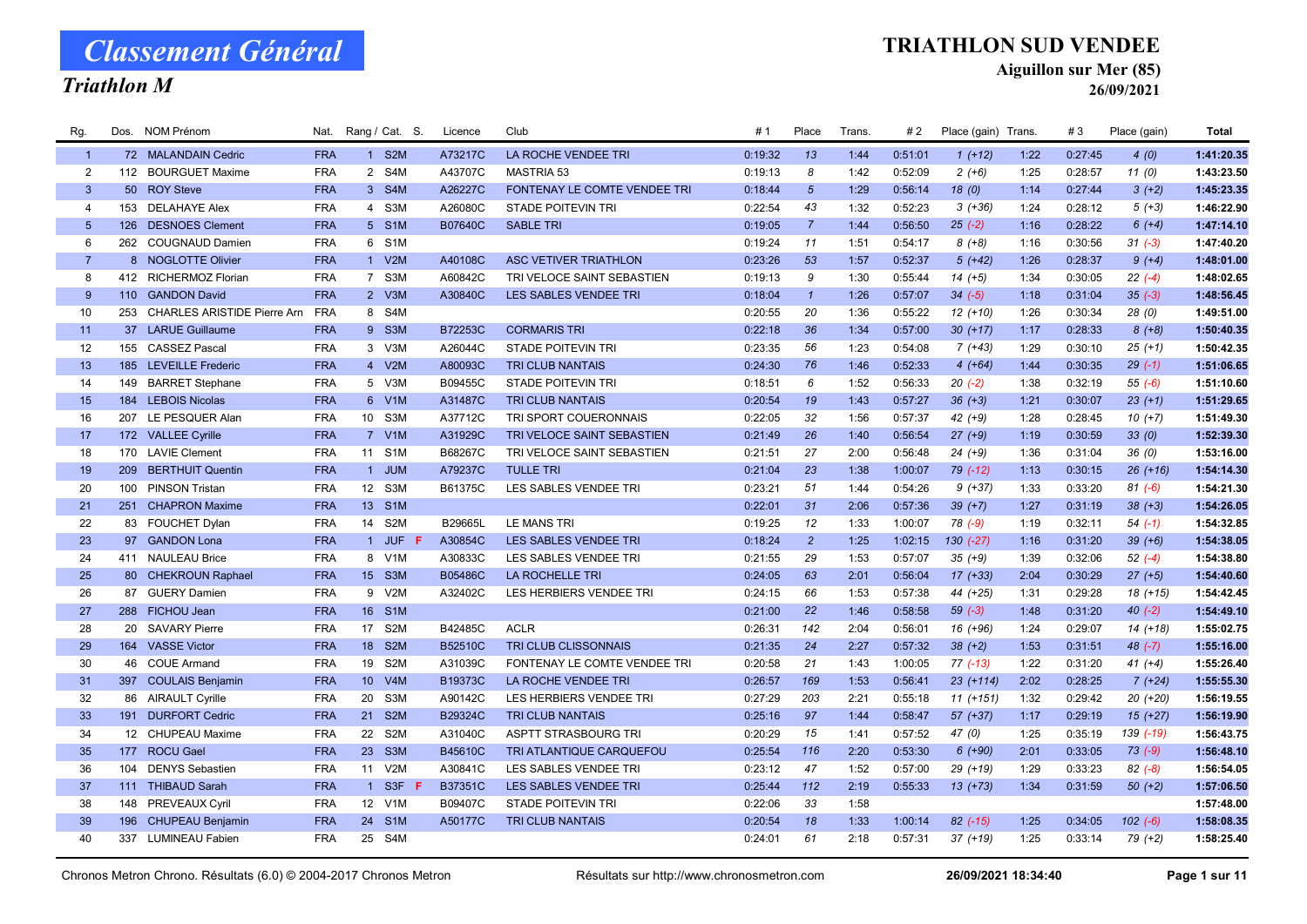### Triathlon M

### TRIATHLON SUD VENDEE

Aiguillon sur Mer (85)

26/09/2021

| Rg.            |     | Dos. NOM Prénom                 | Nat.       |                 | Rang / Cat. S.        | Licence        | Club                         | #1      | Place           | Trans. | # 2     | Place (gain) Trans. |      | #3      | Place (gain) | Total      |
|----------------|-----|---------------------------------|------------|-----------------|-----------------------|----------------|------------------------------|---------|-----------------|--------|---------|---------------------|------|---------|--------------|------------|
| $\overline{1}$ |     | 72 MALANDAIN Cedric             | <b>FRA</b> |                 | 1 S2M                 | A73217C        | LA ROCHE VENDEE TRI          | 0:19:32 | 13              | 1:44   | 0:51:01 | $1(+12)$            | 1:22 | 0:27:45 | 4(0)         | 1:41:20.35 |
| $\overline{2}$ |     | 112 BOURGUET Maxime             | <b>FRA</b> |                 | 2 S4M                 | A43707C        | MASTRIA 53                   | 0:19:13 | 8               | 1:42   | 0:52:09 | $2 (+6)$            | 1:25 | 0:28:57 | 11(0)        | 1:43:23.50 |
| $\mathbf{3}$   |     | 50 ROY Steve                    | <b>FRA</b> |                 | 3 S4M                 | A26227C        | FONTENAY LE COMTE VENDEE TRI | 0:18:44 | $5\overline{5}$ | 1:29   | 0:56:14 | 18(0)               | 1:14 | 0:27:44 | $3(+2)$      | 1:45:23.35 |
| 4              | 153 | <b>DELAHAYE Alex</b>            | <b>FRA</b> |                 | 4 S3M                 | A26080C        | <b>STADE POITEVIN TRI</b>    | 0:22:54 | 43              | 1:32   | 0:52:23 | $3(+36)$            | 1:24 | 0:28:12 | $5(+3)$      | 1:46:22.90 |
| 5 <sup>5</sup> |     | 126 DESNOES Clement             | <b>FRA</b> |                 | 5 S1M                 | B07640C        | <b>SABLE TRI</b>             | 0:19:05 | $\overline{7}$  | 1:44   | 0:56:50 | $25(-2)$            | 1:16 | 0:28:22 | $6(+4)$      | 1:47:14.10 |
| 6              |     | 262 COUGNAUD Damien             | <b>FRA</b> |                 | 6 S1M                 |                |                              | 0:19:24 | 11              | 1:51   | 0:54:17 | $8 (+8)$            | 1:16 | 0:30:56 | $31 (-3)$    | 1:47:40.20 |
| $\overline{7}$ |     | 8 NOGLOTTE Olivier              | <b>FRA</b> |                 | 1 V2M                 | A40108C        | ASC VETIVER TRIATHLON        | 0:23:26 | 53              | 1:57   | 0:52:37 | $5(+42)$            | 1:26 | 0:28:37 | $9 (+4)$     | 1:48:01.00 |
| 8              |     | 412 RICHERMOZ Florian           | <b>FRA</b> |                 | 7 S3M                 | A60842C        | TRI VELOCE SAINT SEBASTIEN   | 0:19:13 | 9               | 1:30   | 0:55:44 | $14(+5)$            | 1:34 | 0:30:05 | $22(-4)$     | 1:48:02.65 |
| 9              |     | 110 GANDON David                | <b>FRA</b> |                 | 2 V3M                 | A30840C        | LES SABLES VENDEE TRI        | 0:18:04 | $\mathbf{1}$    | 1:26   | 0:57:07 | $34 (-5)$           | 1:18 | 0:31:04 | $35(-3)$     | 1:48:56.45 |
| 10             |     | 253 CHARLES ARISTIDE Pierre Arn | <b>FRA</b> |                 | 8 S4M                 |                |                              | 0:20:55 | 20              | 1:36   | 0:55:22 | $12 (+10)$          | 1:26 | 0:30:34 | 28 (0)       | 1:49:51.00 |
| 11             |     | 37 LARUE Guillaume              | <b>FRA</b> |                 | 9 S3M                 | B72253C        | <b>CORMARIS TRI</b>          | 0:22:18 | 36              | 1:34   | 0:57:00 | $30(+17)$           | 1:17 | 0:28:33 | $8 (+8)$     | 1:50:40.35 |
| 12             |     | 155 CASSEZ Pascal               | <b>FRA</b> |                 | 3 V3M                 | A26044C        | <b>STADE POITEVIN TRI</b>    | 0:23:35 | 56              | 1:23   | 0:54:08 | $7(+43)$            | 1:29 | 0:30:10 | $25 (+1)$    | 1:50:42.35 |
| 13             |     | 185 LEVEILLE Frederic           | <b>FRA</b> |                 | 4 V2M                 | A80093C        | <b>TRI CLUB NANTAIS</b>      | 0:24:30 | 76              | 1:46   | 0:52:33 | $4(+64)$            | 1:44 | 0:30:35 | $29(-1)$     | 1:51:06.65 |
| 14             |     | 149 BARRET Stephane             | <b>FRA</b> |                 | 5 V3M                 | B09455C        | <b>STADE POITEVIN TRI</b>    | 0:18:51 | 6               | 1:52   | 0:56:33 | $20(-2)$            | 1:38 | 0:32:19 | $55(-6)$     | 1:51:10.60 |
| 15             |     | 184 LEBOIS Nicolas              | <b>FRA</b> |                 | 6 V1M                 | A31487C        | <b>TRI CLUB NANTAIS</b>      | 0:20:54 | 19              | 1:43   | 0:57:27 | $36 (+3)$           | 1:21 | 0:30:07 | $23 (+1)$    | 1:51:29.65 |
| 16             |     | 207 LE PESQUER Alan             | <b>FRA</b> |                 | 10 S3M                | A37712C        | TRI SPORT COUERONNAIS        | 0:22:05 | 32              | 1:56   | 0:57:37 | 42 (+9)             | 1:28 | 0:28:45 | $10(+7)$     | 1:51:49.30 |
| 17             |     | 172 VALLEE Cyrille              | <b>FRA</b> |                 | 7 V1M                 | A31929C        | TRI VELOCE SAINT SEBASTIEN   | 0:21:49 | 26              | 1:40   | 0:56:54 | $27 (+9)$           | 1:19 | 0:30:59 | 33(0)        | 1:52:39.30 |
| 18             |     | 170 LAVIE Clement               | <b>FRA</b> | 11              | S <sub>1</sub> M      | B68267C        | TRI VELOCE SAINT SEBASTIEN   | 0:21:51 | 27              | 2:00   | 0:56:48 | $24 (+9)$           | 1:36 | 0:31:04 | 36(0)        | 1:53:16.00 |
| 19             |     | 209 BERTHUIT Quentin            | <b>FRA</b> |                 | 1 JUM                 | A79237C        | <b>TULLE TRI</b>             | 0:21:04 | 23              | 1:38   | 1:00:07 | 79 (-12)            | 1:13 | 0:30:15 | $26 (+16)$   | 1:54:14.30 |
| 20             |     | 100 PINSON Tristan              | <b>FRA</b> |                 | 12 S3M                | B61375C        | LES SABLES VENDEE TRI        | 0:23:21 | 51              | 1:44   | 0:54:26 | $9 (+37)$           | 1:33 | 0:33:20 | $81 (-6)$    | 1:54:21.30 |
| 21             |     | 251 CHAPRON Maxime              | <b>FRA</b> |                 | 13 S1M                |                |                              | 0:22:01 | 31              | 2:06   | 0:57:36 | $39 (+7)$           | 1:27 | 0:31:19 | $38 (+3)$    | 1:54:26.05 |
| 22             |     | 83 FOUCHET Dylan                | <b>FRA</b> | 14              | S2M                   | B29665L        | LE MANS TRI                  | 0:19:25 | 12              | 1:33   | 1:00:07 | 78 (-9)             | 1:19 | 0:32:11 | $54(-1)$     | 1:54:32.85 |
| 23             |     | 97 GANDON Lona                  | <b>FRA</b> |                 | 1 JUF F               | A30854C        | LES SABLES VENDEE TRI        | 0:18:24 | $\overline{2}$  | 1:25   | 1:02:15 | $130 (-27)$         | 1:16 | 0:31:20 | $39 (+6)$    | 1:54:38.05 |
| 24             |     | 411 NAULEAU Brice               | <b>FRA</b> |                 | 8 V1M                 | A30833C        | LES SABLES VENDEE TRI        | 0:21:55 | 29              | 1:53   | 0:57:07 | $35 (+9)$           | 1:39 | 0:32:06 | $52(-4)$     | 1:54:38.80 |
| 25             |     | 80 CHEKROUN Raphael             | <b>FRA</b> |                 | 15 S3M                | <b>B05486C</b> | <b>LA ROCHELLE TRI</b>       | 0:24:05 | 63              | 2:01   | 0:56:04 | $17(+33)$           | 2:04 | 0:30:29 | $27 (+5)$    | 1:54:40.60 |
| 26             |     | 87 GUERY Damien                 | <b>FRA</b> |                 | 9 V2M                 | A32402C        | LES HERBIERS VENDEE TRI      | 0:24:15 | 66              | 1:53   | 0:57:38 | 44 (+25)            | 1:31 | 0:29:28 | $18(+15)$    | 1:54:42.45 |
| 27             |     | 288 FICHOU Jean                 | <b>FRA</b> | 16              | S <sub>1</sub> M      |                |                              | 0:21:00 | 22              | 1:46   | 0:58:58 | $59(-3)$            | 1:48 | 0:31:20 | $40(-2)$     | 1:54:49.10 |
| 28             |     | 20 SAVARY Pierre                | <b>FRA</b> |                 | 17 S2M                | B42485C        | <b>ACLR</b>                  | 0:26:31 | 142             | 2:04   | 0:56:01 | 16 (+96)            | 1:24 | 0:29:07 | $14(+18)$    | 1:55:02.75 |
| 29             |     | 164 VASSE Victor                | <b>FRA</b> |                 | 18 S2M                | B52510C        | <b>TRI CLUB CLISSONNAIS</b>  | 0:21:35 | 24              | 2:27   | 0:57:32 | $38 (+2)$           | 1:53 | 0:31:51 | $48$ $(-7)$  | 1:55:16.00 |
| 30             |     | 46 COUE Armand                  | <b>FRA</b> | 19              | S <sub>2</sub> M      | A31039C        | FONTENAY LE COMTE VENDEE TRI | 0:20:58 | 21              | 1:43   | 1:00:05 | $77$ $(-13)$        | 1:22 | 0:31:20 | 41 $(+4)$    | 1:55:26.40 |
| 31             |     | 397 COULAIS Benjamin            | <b>FRA</b> | 10 <sup>°</sup> | V4M                   | B19373C        | LA ROCHE VENDEE TRI          | 0:26:57 | 169             | 1:53   | 0:56:41 | $23(+114)$          | 2:02 | 0:28:25 | $7(+24)$     | 1:55:55.30 |
| 32             |     | 86 AIRAULT Cyrille              | <b>FRA</b> | 20              | S <sub>3</sub> M      | A90142C        | LES HERBIERS VENDEE TRI      | 0:27:29 | 203             | 2:21   | 0:55:18 | $11 (+151)$         | 1:32 | 0:29:42 | $20 (+20)$   | 1:56:19.55 |
| 33             |     | 191 DURFORT Cedric              | <b>FRA</b> | 21              | S <sub>2</sub> M      | B29324C        | <b>TRI CLUB NANTAIS</b>      | 0:25:16 | 97              | 1:44   | 0:58:47 | 57 (+37)            | 1:17 | 0:29:19 | $15(+27)$    | 1:56:19.90 |
| 34             |     | 12 CHUPEAU Maxime               | <b>FRA</b> | 22              | S <sub>2</sub> M      | A31040C        | ASPTT STRASBOURG TRI         | 0:20:29 | 15              | 1:41   | 0:57:52 | 47 (0)              | 1:25 | 0:35:19 | 139 (-19)    | 1:56:43.75 |
| 35             |     | 177 ROCU Gael                   | <b>FRA</b> | 23              | S3M                   | B45610C        | TRI ATLANTIQUE CARQUEFOU     | 0:25:54 | 116             | 2:20   | 0:53:30 | $6 (+90)$           | 2:01 | 0:33:05 | $73(-9)$     | 1:56:48.10 |
| 36             | 104 | <b>DENYS Sebastien</b>          | <b>FRA</b> | 11              | V2M                   | A30841C        | LES SABLES VENDEE TRI        | 0:23:12 | 47              | 1:52   | 0:57:00 | 29 (+19)            | 1:29 | 0:33:23 | $82 (-8)$    | 1:56:54.05 |
| 37             |     | 111 THIBAUD Sarah               | <b>FRA</b> | $\overline{1}$  | S <sub>3F</sub><br>-F | <b>B37351C</b> | LES SABLES VENDEE TRI        | 0:25:44 | 112             | 2:19   | 0:55:33 | $13 (+73)$          | 1:34 | 0:31:59 | $50 (+2)$    | 1:57:06.50 |
| 38             | 148 | PREVEAUX Cyril                  | <b>FRA</b> |                 | 12 V1M                | B09407C        | <b>STADE POITEVIN TRI</b>    | 0:22:06 | 33              | 1:58   |         |                     |      |         |              | 1:57:48.00 |
| 39             |     | 196 CHUPEAU Benjamin            | <b>FRA</b> | 24              | S <sub>1</sub> M      | A50177C        | TRI CLUB NANTAIS             | 0:20:54 | 18              | 1:33   | 1:00:14 | $82$ (-15)          | 1:25 | 0:34:05 | $102 (-6)$   | 1:58:08.35 |
| 40             |     | 337 LUMINEAU Fabien             | <b>FRA</b> |                 | 25 S4M                |                |                              | 0:24:01 | 61              | 2:18   | 0:57:31 | $37 (+19)$          | 1:25 | 0:33:14 | 79 (+2)      | 1:58:25.40 |
|                |     |                                 |            |                 |                       |                |                              |         |                 |        |         |                     |      |         |              |            |

Chronos Metron Chrono. Résultats (6.0) © 2004-2017 Chronos Metron **Résultats sur http://www.chronosmetron.com** 26/09/2021 18:34:40 Page 1 sur 11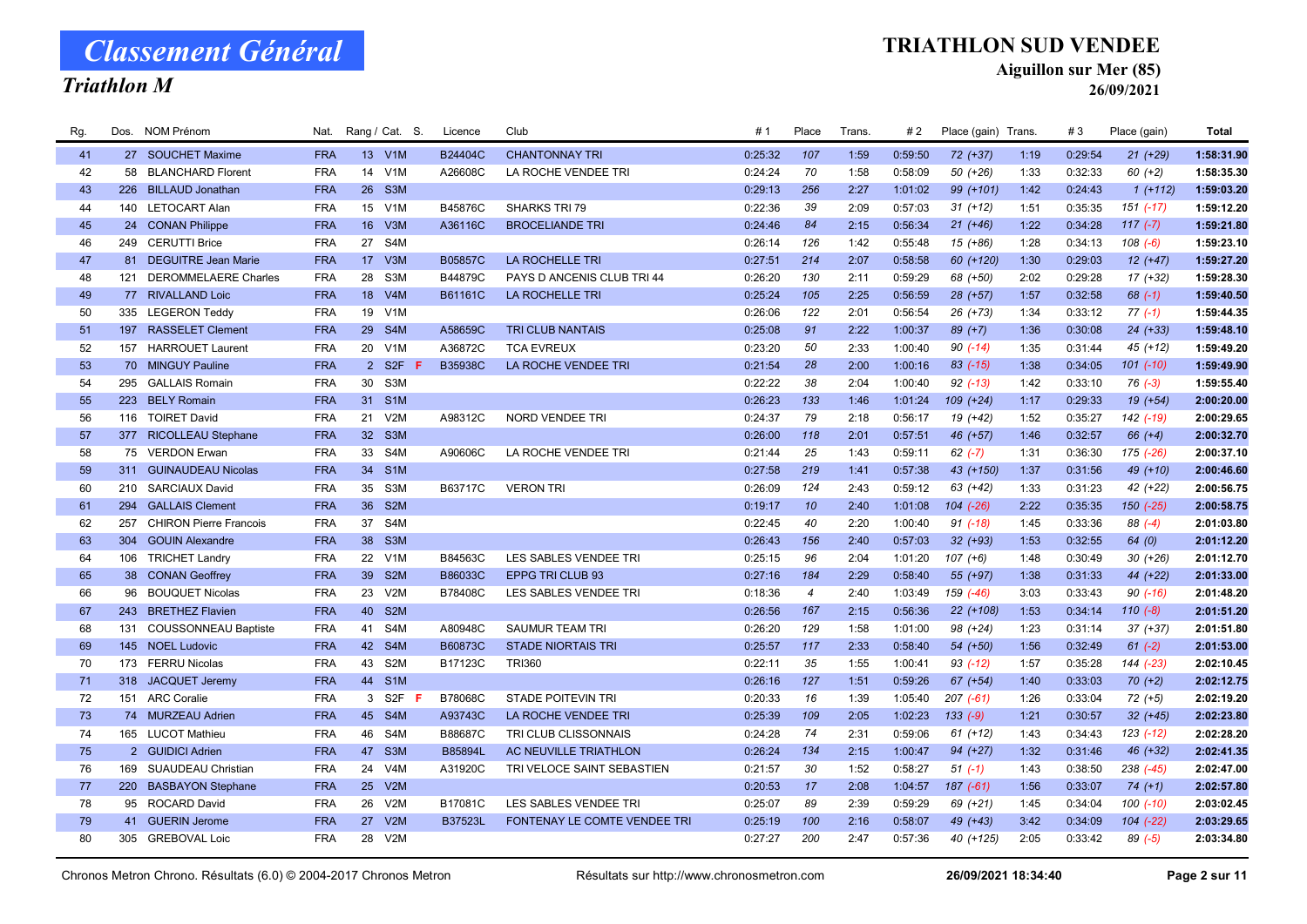### Triathlon M

### TRIATHLON SUD VENDEE

Aiguillon sur Mer (85)

| Rg. |     | Dos. NOM Prénom               | Nat.       |                 | Rang / Cat. S.   | Licence | Club                         | #1      | Place          | Trans. | #2      | Place (gain) Trans. |      | #3      | Place (gain) | <b>Total</b> |
|-----|-----|-------------------------------|------------|-----------------|------------------|---------|------------------------------|---------|----------------|--------|---------|---------------------|------|---------|--------------|--------------|
| 41  |     | 27 SOUCHET Maxime             | <b>FRA</b> |                 | 13 V1M           | B24404C | <b>CHANTONNAY TRI</b>        | 0:25:32 | 107            | 1:59   | 0:59:50 | $72$ $(+37)$        | 1:19 | 0:29:54 | $21 (+29)$   | 1:58:31.90   |
| 42  | 58  | <b>BLANCHARD Florent</b>      | <b>FRA</b> | 14              | V <sub>1</sub> M | A26608C | LA ROCHE VENDEE TRI          | 0:24:24 | 70             | 1:58   | 0:58:09 | 50 (+26)            | 1:33 | 0:32:33 | $60 (+2)$    | 1:58:35.30   |
| 43  | 226 | <b>BILLAUD Jonathan</b>       | <b>FRA</b> | 26              | S3M              |         |                              | 0:29:13 | 256            | 2:27   | 1:01:02 | 99 (+101)           | 1:42 | 0:24:43 | $1(+112)$    | 1:59:03.20   |
| 44  |     | 140 LETOCART Alan             | <b>FRA</b> |                 | 15 V1M           | B45876C | <b>SHARKS TRI 79</b>         | 0:22:36 | 39             | 2:09   | 0:57:03 | $31 (+12)$          | 1:51 | 0:35:35 | 151 (-17)    | 1:59:12.20   |
| 45  |     | 24 CONAN Philippe             | <b>FRA</b> | 16 <sup>°</sup> | V3M              | A36116C | <b>BROCELIANDE TRI</b>       | 0:24:46 | 84             | 2:15   | 0:56:34 | $21 (+46)$          | 1:22 | 0:34:28 | $117(-7)$    | 1:59:21.80   |
| 46  |     | 249 CERUTTI Brice             | <b>FRA</b> | 27              | S <sub>4</sub> M |         |                              | 0:26:14 | 126            | 1:42   | 0:55:48 | $15(+86)$           | 1:28 | 0:34:13 | $108(-6)$    | 1:59:23.10   |
| 47  |     | 81 DEGUITRE Jean Marie        | <b>FRA</b> | 17 <sup>2</sup> | V3M              | B05857C | LA ROCHELLE TRI              | 0:27:51 | 214            | 2:07   | 0:58:58 | 60 (+120)           | 1:30 | 0:29:03 | $12 (+47)$   | 1:59:27.20   |
| 48  | 121 | <b>DEROMMELAERE Charles</b>   | <b>FRA</b> | 28              | S3M              | B44879C | PAYS D ANCENIS CLUB TRI 44   | 0:26:20 | 130            | 2:11   | 0:59:29 | 68 (+50)            | 2:02 | 0:29:28 | $17(+32)$    | 1:59:28.30   |
| 49  |     | 77 RIVALLAND Loic             | <b>FRA</b> |                 | 18 V4M           | B61161C | LA ROCHELLE TRI              | 0:25:24 | 105            | 2:25   | 0:56:59 | 28 (+57)            | 1:57 | 0:32:58 | $68$ $(-1)$  | 1:59:40.50   |
| 50  |     | 335 LEGERON Teddy             | <b>FRA</b> | 19              | V <sub>1</sub> M |         |                              | 0:26:06 | 122            | 2:01   | 0:56:54 | 26 (+73)            | 1:34 | 0:33:12 | $77(-1)$     | 1:59:44.35   |
| 51  |     | 197 RASSELET Clement          | <b>FRA</b> | 29              | S4M              | A58659C | <b>TRI CLUB NANTAIS</b>      | 0:25:08 | 91             | 2:22   | 1:00:37 | $89 (+7)$           | 1:36 | 0:30:08 | $24$ $(+33)$ | 1:59:48.10   |
| 52  |     | 157 HARROUET Laurent          | <b>FRA</b> | 20              | V <sub>1</sub> M | A36872C | <b>TCA EVREUX</b>            | 0:23:20 | 50             | 2:33   | 1:00:40 | $90(-14)$           | 1:35 | 0:31:44 | $45 (+12)$   | 1:59:49.20   |
| 53  |     | 70 MINGUY Pauline             | <b>FRA</b> |                 | 2 S2F            | B35938C | LA ROCHE VENDEE TRI          | 0:21:54 | 28             | 2:00   | 1:00:16 | $83$ $(-15)$        | 1:38 | 0:34:05 | 101 (-10)    | 1:59:49.90   |
| 54  | 295 | <b>GALLAIS Romain</b>         | <b>FRA</b> | 30              | S3M              |         |                              | 0:22:22 | 38             | 2:04   | 1:00:40 | $92$ $(-13)$        | 1:42 | 0:33:10 | $76(-3)$     | 1:59:55.40   |
| 55  | 223 | <b>BELY Romain</b>            | <b>FRA</b> | 31              | S <sub>1</sub> M |         |                              | 0:26:23 | 133            | 1:46   | 1:01:24 | 109 (+24)           | 1:17 | 0:29:33 | $19(+54)$    | 2:00:20.00   |
| 56  |     | 116 TOIRET David              | <b>FRA</b> | 21              | V2M              | A98312C | <b>NORD VENDEE TRI</b>       | 0:24:37 | 79             | 2:18   | 0:56:17 | 19 (+42)            | 1:52 | 0:35:27 | 142 (-19)    | 2:00:29.65   |
| 57  |     | 377 RICOLLEAU Stephane        | <b>FRA</b> | 32 <sup>2</sup> | S <sub>3</sub> M |         |                              | 0:26:00 | 118            | 2:01   | 0:57:51 | 46 (+57)            | 1:46 | 0:32:57 | $66 (+4)$    | 2:00:32.70   |
| 58  |     | 75 VERDON Erwan               | <b>FRA</b> | 33              | S4M              | A90606C | LA ROCHE VENDEE TRI          | 0:21:44 | 25             | 1:43   | 0:59:11 | $62$ $(-7)$         | 1:31 | 0:36:30 | 175 (-26)    | 2:00:37.10   |
| 59  |     | 311 GUINAUDEAU Nicolas        | <b>FRA</b> |                 | 34 S1M           |         |                              | 0:27:58 | 219            | 1:41   | 0:57:38 | 43 (+150)           | 1:37 | 0:31:56 | 49 (+10)     | 2:00:46.60   |
| 60  |     | 210 SARCIAUX David            | <b>FRA</b> | 35              | S3M              | B63717C | <b>VERON TRI</b>             | 0:26:09 | 124            | 2:43   | 0:59:12 | 63 (+42)            | 1:33 | 0:31:23 | 42 (+22)     | 2:00:56.75   |
| 61  |     | 294 GALLAIS Clement           | <b>FRA</b> | 36              | S <sub>2</sub> M |         |                              | 0:19:17 | 10             | 2:40   | 1:01:08 | $104$ $(-26)$       | 2:22 | 0:35:35 | 150 (-25)    | 2:00:58.75   |
| 62  | 257 | <b>CHIRON Pierre Francois</b> | <b>FRA</b> | 37              | S <sub>4</sub> M |         |                              | 0:22:45 | 40             | 2:20   | 1:00:40 | $91 (-18)$          | 1:45 | 0:33:36 | $88(-4)$     | 2:01:03.80   |
| 63  |     | 304 GOUIN Alexandre           | <b>FRA</b> | 38              | S3M              |         |                              | 0:26:43 | 156            | 2:40   | 0:57:03 | $32 (+93)$          | 1:53 | 0:32:55 | 64(0)        | 2:01:12.20   |
| 64  |     | 106 TRICHET Landry            | <b>FRA</b> | 22              | V1M              | B84563C | LES SABLES VENDEE TRI        | 0:25:15 | 96             | 2:04   | 1:01:20 | $107 (+6)$          | 1:48 | 0:30:49 | $30 (+26)$   | 2:01:12.70   |
| 65  |     | 38 CONAN Geoffrey             | <b>FRA</b> | 39              | S <sub>2</sub> M | B86033C | EPPG TRI CLUB 93             | 0:27:16 | 184            | 2:29   | 0:58:40 | 55 (+97)            | 1:38 | 0:31:33 | 44 (+22)     | 2:01:33.00   |
| 66  | 96  | <b>BOUQUET Nicolas</b>        | <b>FRA</b> | 23              | V2M              | B78408C | LES SABLES VENDEE TRI        | 0:18:36 | $\overline{4}$ | 2:40   | 1:03:49 | 159 (-46)           | 3:03 | 0:33:43 | $90( -16)$   | 2:01:48.20   |
| 67  | 243 | <b>BRETHEZ Flavien</b>        | <b>FRA</b> | 40              | S <sub>2</sub> M |         |                              | 0:26:56 | 167            | 2:15   | 0:56:36 | 22 (+108)           | 1:53 | 0:34:14 | $110(-8)$    | 2:01:51.20   |
| 68  | 131 | <b>COUSSONNEAU Baptiste</b>   | <b>FRA</b> | 41              | S4M              | A80948C | SAUMUR TEAM TRI              | 0:26:20 | 129            | 1:58   | 1:01:00 | 98 (+24)            | 1:23 | 0:31:14 | $37 (+37)$   | 2:01:51.80   |
| 69  |     | 145 NOEL Ludovic              | <b>FRA</b> | 42              | S4M              | B60873C | <b>STADE NIORTAIS TRI</b>    | 0:25:57 | 117            | 2:33   | 0:58:40 | 54 (+50)            | 1:56 | 0:32:49 | $61 (-2)$    | 2:01:53.00   |
| 70  |     | 173 FERRU Nicolas             | <b>FRA</b> | 43              | S2M              | B17123C | <b>TRI360</b>                | 0:22:11 | 35             | 1:55   | 1:00:41 | $93$ (-12)          | 1:57 | 0:35:28 | 144 (-23)    | 2:02:10.45   |
| 71  |     | 318 JACQUET Jeremy            | <b>FRA</b> |                 | 44 S1M           |         |                              | 0:26:16 | 127            | 1:51   | 0:59:26 | $67 (+54)$          | 1:40 | 0:33:03 | $70 (+2)$    | 2:02:12.75   |
| 72  |     | 151 ARC Coralie               | <b>FRA</b> | 3               | S2F<br>-F        | B78068C | <b>STADE POITEVIN TRI</b>    | 0:20:33 | 16             | 1:39   | 1:05:40 | $207$ $(-61)$       | 1:26 | 0:33:04 | $72 (+5)$    | 2:02:19.20   |
| 73  |     | 74 MURZEAU Adrien             | <b>FRA</b> |                 | 45 S4M           | A93743C | LA ROCHE VENDEE TRI          | 0:25:39 | 109            | 2:05   | 1:02:23 | $133(-9)$           | 1:21 | 0:30:57 | $32 (+45)$   | 2:02:23.80   |
| 74  |     | 165 LUCOT Mathieu             | <b>FRA</b> | 46              | S4M              | B88687C | TRI CLUB CLISSONNAIS         | 0:24:28 | 74             | 2:31   | 0:59:06 | $61 (+12)$          | 1:43 | 0:34:43 | $123( -12)$  | 2:02:28.20   |
| 75  |     | 2 GUIDICI Adrien              | <b>FRA</b> | 47              | S <sub>3</sub> M | B85894L | AC NEUVILLE TRIATHLON        | 0:26:24 | 134            | 2:15   | 1:00:47 | 94 (+27)            | 1:32 | 0:31:46 | 46 (+32)     | 2:02:41.35   |
| 76  | 169 | SUAUDEAU Christian            | <b>FRA</b> | 24              | V <sub>4</sub> M | A31920C | TRI VELOCE SAINT SEBASTIEN   | 0:21:57 | 30             | 1:52   | 0:58:27 | $51(-1)$            | 1:43 | 0:38:50 | 238 (-45)    | 2:02:47.00   |
| 77  |     | 220 BASBAYON Stephane         | <b>FRA</b> | 25 <sub>2</sub> | V2M              |         |                              | 0:20:53 | 17             | 2:08   | 1:04:57 | $187(-61)$          | 1:56 | 0:33:07 | $74(+1)$     | 2:02:57.80   |
| 78  |     | 95 ROCARD David               | <b>FRA</b> | 26              | V2M              | B17081C | LES SABLES VENDEE TRI        | 0:25:07 | 89             | 2:39   | 0:59:29 | 69 (+21)            | 1:45 | 0:34:04 | $100 (-10)$  | 2:03:02.45   |
| 79  |     | 41 GUERIN Jerome              | <b>FRA</b> | 27              | V2M              | B37523L | FONTENAY LE COMTE VENDEE TRI | 0:25:19 | 100            | 2:16   | 0:58:07 | 49 (+43)            | 3:42 | 0:34:09 | 104 (-22)    | 2:03:29.65   |
| 80  |     | 305 GREBOVAL Loic             | <b>FRA</b> | 28              | V2M              |         |                              | 0:27:27 | 200            | 2:47   | 0:57:36 | 40 (+125)           | 2:05 | 0:33:42 | 89 (-5)      | 2:03:34.80   |
|     |     |                               |            |                 |                  |         |                              |         |                |        |         |                     |      |         |              |              |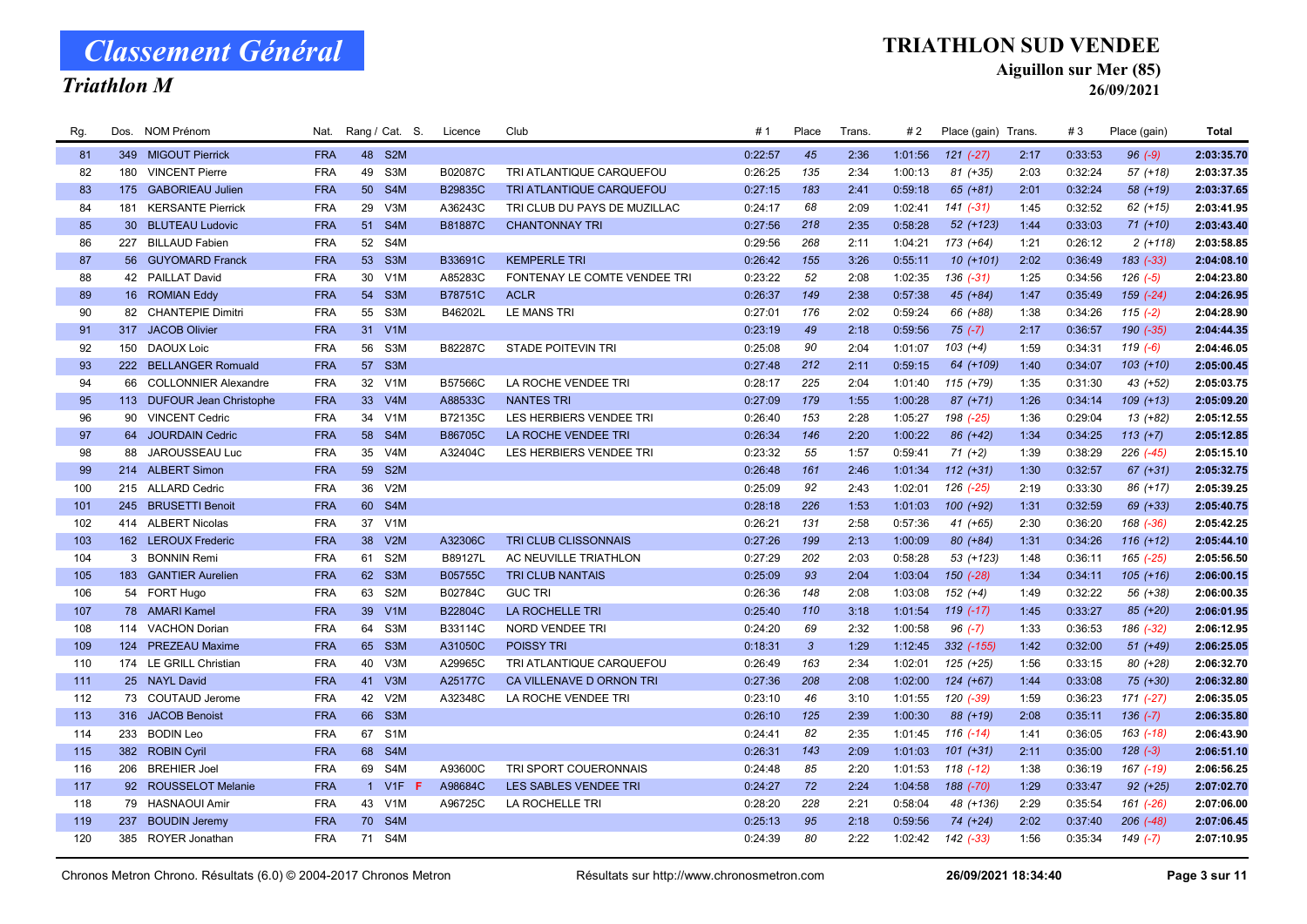### Triathlon M

### TRIATHLON SUD VENDEE

Aiguillon sur Mer (85)

| Rg. |     | Dos. NOM Prénom            | Nat.       |                 | Rang / Cat. S.   | Licence | Club                         | #1      | Place        | Trans. | #2      | Place (gain) Trans. |      | #3      | Place (gain) | <b>Total</b> |
|-----|-----|----------------------------|------------|-----------------|------------------|---------|------------------------------|---------|--------------|--------|---------|---------------------|------|---------|--------------|--------------|
| 81  |     | 349 MIGOUT Pierrick        | <b>FRA</b> |                 | 48 S2M           |         |                              | 0:22:57 | 45           | 2:36   | 1:01:56 | $121 (-27)$         | 2:17 | 0:33:53 | $96 (-9)$    | 2:03:35.70   |
| 82  | 180 | <b>VINCENT Pierre</b>      | <b>FRA</b> | 49              | S3M              | B02087C | TRI ATLANTIQUE CARQUEFOU     | 0:26:25 | 135          | 2:34   | 1:00:13 | $81 (+35)$          | 2:03 | 0:32:24 | $57(+18)$    | 2:03:37.35   |
| 83  |     | 175 GABORIEAU Julien       | <b>FRA</b> | 50 <sub>2</sub> | S4M              | B29835C | TRI ATLANTIQUE CARQUEFOU     | 0:27:15 | 183          | 2:41   | 0:59:18 | $65 (+81)$          | 2:01 | 0:32:24 | 58 (+19)     | 2:03:37.65   |
| 84  | 181 | <b>KERSANTE Pierrick</b>   | <b>FRA</b> | 29              | V3M              | A36243C | TRI CLUB DU PAYS DE MUZILLAC | 0:24:17 | 68           | 2:09   | 1:02:41 | $141 (-31)$         | 1:45 | 0:32:52 | $62 (+15)$   | 2:03:41.95   |
| 85  |     | 30 BLUTEAU Ludovic         | <b>FRA</b> | 51              | S4M              | B81887C | <b>CHANTONNAY TRI</b>        | 0:27:56 | 218          | 2:35   | 0:58:28 | 52 (+123)           | 1:44 | 0:33:03 | $71 (+10)$   | 2:03:43.40   |
| 86  |     | 227 BILLAUD Fabien         | <b>FRA</b> | 52              | S4M              |         |                              | 0:29:56 | 268          | 2:11   | 1:04:21 | 173 (+64)           | 1:21 | 0:26:12 | $2(+118)$    | 2:03:58.85   |
| 87  |     | 56 GUYOMARD Franck         | <b>FRA</b> | 53              | S <sub>3</sub> M | B33691C | <b>KEMPERLE TRI</b>          | 0:26:42 | 155          | 3:26   | 0:55:11 | $10(+101)$          | 2:02 | 0:36:49 | $183(-33)$   | 2:04:08.10   |
| 88  |     | 42 PAILLAT David           | <b>FRA</b> | 30              | V <sub>1</sub> M | A85283C | FONTENAY LE COMTE VENDEE TRI | 0:23:22 | 52           | 2:08   | 1:02:35 | $136(-31)$          | 1:25 | 0:34:56 | $126(-5)$    | 2:04:23.80   |
| 89  |     | 16 ROMIAN Eddy             | <b>FRA</b> |                 | 54 S3M           | B78751C | <b>ACLR</b>                  | 0:26:37 | 149          | 2:38   | 0:57:38 | 45 (+84)            | 1:47 | 0:35:49 | 159 (-24)    | 2:04:26.95   |
| 90  |     | 82 CHANTEPIE Dimitri       | <b>FRA</b> | 55              | S3M              | B46202L | LE MANS TRI                  | 0:27:01 | 176          | 2:02   | 0:59:24 | 66 (+88)            | 1:38 | 0:34:26 | $115(-2)$    | 2:04:28.90   |
| 91  |     | 317 JACOB Olivier          | <b>FRA</b> | 31              | V1M              |         |                              | 0:23:19 | 49           | 2:18   | 0:59:56 | $75(-7)$            | 2:17 | 0:36:57 | 190 (-35)    | 2:04:44.35   |
| 92  | 150 | <b>DAOUX Loic</b>          | <b>FRA</b> | 56              | S3M              | B82287C | <b>STADE POITEVIN TRI</b>    | 0:25:08 | 90           | 2:04   | 1:01:07 | $103 (+4)$          | 1:59 | 0:34:31 | $119(-6)$    | 2:04:46.05   |
| 93  |     | 222 BELLANGER Romuald      | <b>FRA</b> | 57              | S <sub>3</sub> M |         |                              | 0:27:48 | 212          | 2:11   | 0:59:15 | 64 (+109)           | 1:40 | 0:34:07 | $103 (+10)$  | 2:05:00.45   |
| 94  |     | 66 COLLONNIER Alexandre    | <b>FRA</b> | 32              | V <sub>1</sub> M | B57566C | LA ROCHE VENDEE TRI          | 0:28:17 | 225          | 2:04   | 1:01:40 | $115 (+79)$         | 1:35 | 0:31:30 | 43 (+52)     | 2:05:03.75   |
| 95  |     | 113 DUFOUR Jean Christophe | <b>FRA</b> | 33 <sup>°</sup> | V4M              | A88533C | <b>NANTES TRI</b>            | 0:27:09 | 179          | 1:55   | 1:00:28 | 87 (+71)            | 1:26 | 0:34:14 | $109 (+13)$  | 2:05:09.20   |
| 96  |     | 90 VINCENT Cedric          | <b>FRA</b> | 34              | V <sub>1</sub> M | B72135C | LES HERBIERS VENDEE TRI      | 0:26:40 | 153          | 2:28   | 1:05:27 | 198 (-25)           | 1:36 | 0:29:04 | $13(+82)$    | 2:05:12.55   |
| 97  |     | 64 JOURDAIN Cedric         | <b>FRA</b> | 58              | S4M              | B86705C | LA ROCHE VENDEE TRI          | 0:26:34 | 146          | 2:20   | 1:00:22 | 86 (+42)            | 1:34 | 0:34:25 | $113 (+7)$   | 2:05:12.85   |
| 98  | 88  | JAROUSSEAU Luc             | <b>FRA</b> | 35              | V <sub>4</sub> M | A32404C | LES HERBIERS VENDEE TRI      | 0:23:32 | 55           | 1:57   | 0:59:41 | $71 (+2)$           | 1:39 | 0:38:29 | 226 (-45)    | 2:05:15.10   |
| 99  |     | 214 ALBERT Simon           | <b>FRA</b> |                 | 59 S2M           |         |                              | 0:26:48 | 161          | 2:46   | 1:01:34 | $112 (+31)$         | 1:30 | 0:32:57 | $67 (+31)$   | 2:05:32.75   |
| 100 |     | 215 ALLARD Cedric          | <b>FRA</b> | 36              | V2M              |         |                              | 0:25:09 | 92           | 2:43   | 1:02:01 | 126 (-25)           | 2:19 | 0:33:30 | 86 (+17)     | 2:05:39.25   |
| 101 |     | 245 BRUSETTI Benoit        | <b>FRA</b> | 60              | S4M              |         |                              | 0:28:18 | 226          | 1:53   | 1:01:03 | $100 (+92)$         | 1:31 | 0:32:59 | 69 (+33)     | 2:05:40.75   |
| 102 |     | 414 ALBERT Nicolas         | <b>FRA</b> | 37              | V1M              |         |                              | 0:26:21 | 131          | 2:58   | 0:57:36 | $41 (+65)$          | 2:30 | 0:36:20 | 168 (-36)    | 2:05:42.25   |
| 103 |     | 162 LEROUX Frederic        | <b>FRA</b> | 38              | V2M              | A32306C | TRI CLUB CLISSONNAIS         | 0:27:26 | 199          | 2:13   | 1:00:09 | 80 (+84)            | 1:31 | 0:34:26 | $116 (+12)$  | 2:05:44.10   |
| 104 |     | 3 BONNIN Remi              | <b>FRA</b> | 61              | S <sub>2</sub> M | B89127L | AC NEUVILLE TRIATHLON        | 0:27:29 | 202          | 2:03   | 0:58:28 | 53 (+123)           | 1:48 | 0:36:11 | 165 (-25)    | 2:05:56.50   |
| 105 |     | 183 GANTIER Aurelien       | <b>FRA</b> | 62              | S <sub>3</sub> M | B05755C | TRI CLUB NANTAIS             | 0:25:09 | 93           | 2:04   | 1:03:04 | $150(-28)$          | 1:34 | 0:34:11 | $105 (+16)$  | 2:06:00.15   |
| 106 |     | 54 FORT Hugo               | <b>FRA</b> | 63              | S <sub>2</sub> M | B02784C | <b>GUC TRI</b>               | 0:26:36 | 148          | 2:08   | 1:03:08 | $152 (+4)$          | 1:49 | 0:32:22 | 56 (+38)     | 2:06:00.35   |
| 107 |     | 78 AMARI Kamel             | <b>FRA</b> | 39              | V1M              | B22804C | <b>LA ROCHELLE TRI</b>       | 0:25:40 | 110          | 3:18   | 1:01:54 | $119(-17)$          | 1:45 | 0:33:27 | 85 (+20)     | 2:06:01.95   |
| 108 |     | 114 VACHON Dorian          | <b>FRA</b> | 64              | S <sub>3</sub> M | B33114C | <b>NORD VENDEE TRI</b>       | 0:24:20 | 69           | 2:32   | 1:00:58 | $96$ $(-7)$         | 1:33 | 0:36:53 | 186 (-32)    | 2:06:12.95   |
| 109 |     | 124 PREZEAU Maxime         | <b>FRA</b> |                 | 65 S3M           | A31050C | <b>POISSY TRI</b>            | 0:18:31 | $\mathbf{3}$ | 1:29   | 1:12:45 | 332 (-155)          | 1:42 | 0:32:00 | $51 (+49)$   | 2:06:25.05   |
| 110 |     | 174 LE GRILL Christian     | <b>FRA</b> | 40              | V3M              | A29965C | TRI ATLANTIQUE CARQUEFOU     | 0:26:49 | 163          | 2:34   | 1:02:01 | 125 (+25)           | 1:56 | 0:33:15 | 80 (+28)     | 2:06:32.70   |
| 111 |     | 25 NAYL David              | <b>FRA</b> | 41              | V3M              | A25177C | CA VILLENAVE D ORNON TRI     | 0:27:36 | 208          | 2:08   | 1:02:00 | $124 (+67)$         | 1:44 | 0:33:08 | 75 (+30)     | 2:06:32.80   |
| 112 |     | 73 COUTAUD Jerome          | <b>FRA</b> | 42              | V2M              | A32348C | LA ROCHE VENDEE TRI          | 0:23:10 | 46           | 3:10   | 1:01:55 | 120 (-39)           | 1:59 | 0:36:23 | $171 (-27)$  | 2:06:35.05   |
| 113 |     | 316 JACOB Benoist          | <b>FRA</b> | 66              | S <sub>3</sub> M |         |                              | 0:26:10 | 125          | 2:39   | 1:00:30 | 88 (+19)            | 2:08 | 0:35:11 | $136(-7)$    | 2:06:35.80   |
| 114 | 233 | <b>BODIN Leo</b>           | <b>FRA</b> | 67              | S <sub>1</sub> M |         |                              | 0:24:41 | 82           | 2:35   | 1:01:45 | $116$ $(-14)$       | 1:41 | 0:36:05 | 163 (-18)    | 2:06:43.90   |
| 115 |     | 382 ROBIN Cyril            | <b>FRA</b> | 68              | S4M              |         |                              | 0:26:31 | 143          | 2:09   | 1:01:03 | $101 (+31)$         | 2:11 | 0:35:00 | $128(-3)$    | 2:06:51.10   |
| 116 |     | 206 BREHIER Joel           | <b>FRA</b> | 69              | S4M              | A93600C | TRI SPORT COUERONNAIS        | 0:24:48 | 85           | 2:20   | 1:01:53 | $118( -12)$         | 1:38 | 0:36:19 | 167 (-19)    | 2:06:56.25   |
| 117 |     | 92 ROUSSELOT Melanie       | <b>FRA</b> | $\overline{1}$  | $V1F$ F          | A98684C | LES SABLES VENDEE TRI        | 0:24:27 | 72           | 2:24   | 1:04:58 | 188 (-70)           | 1:29 | 0:33:47 | $92 (+25)$   | 2:07:02.70   |
| 118 | 79  | <b>HASNAOUI Amir</b>       | <b>FRA</b> | 43              | V <sub>1</sub> M | A96725C | LA ROCHELLE TRI              | 0:28:20 | 228          | 2:21   | 0:58:04 | 48 (+136)           | 2:29 | 0:35:54 | 161 (-26)    | 2:07:06.00   |
| 119 | 237 | <b>BOUDIN Jeremy</b>       | <b>FRA</b> | 70              | S4M              |         |                              | 0:25:13 | 95           | 2:18   | 0:59:56 | 74 (+24)            | 2:02 | 0:37:40 | 206 (-48)    | 2:07:06.45   |
| 120 |     | 385 ROYER Jonathan         | <b>FRA</b> |                 | 71 S4M           |         |                              | 0:24:39 | 80           | 2:22   | 1:02:42 | 142 (-33)           | 1:56 | 0:35:34 | $149(-7)$    | 2:07:10.95   |
|     |     |                            |            |                 |                  |         |                              |         |              |        |         |                     |      |         |              |              |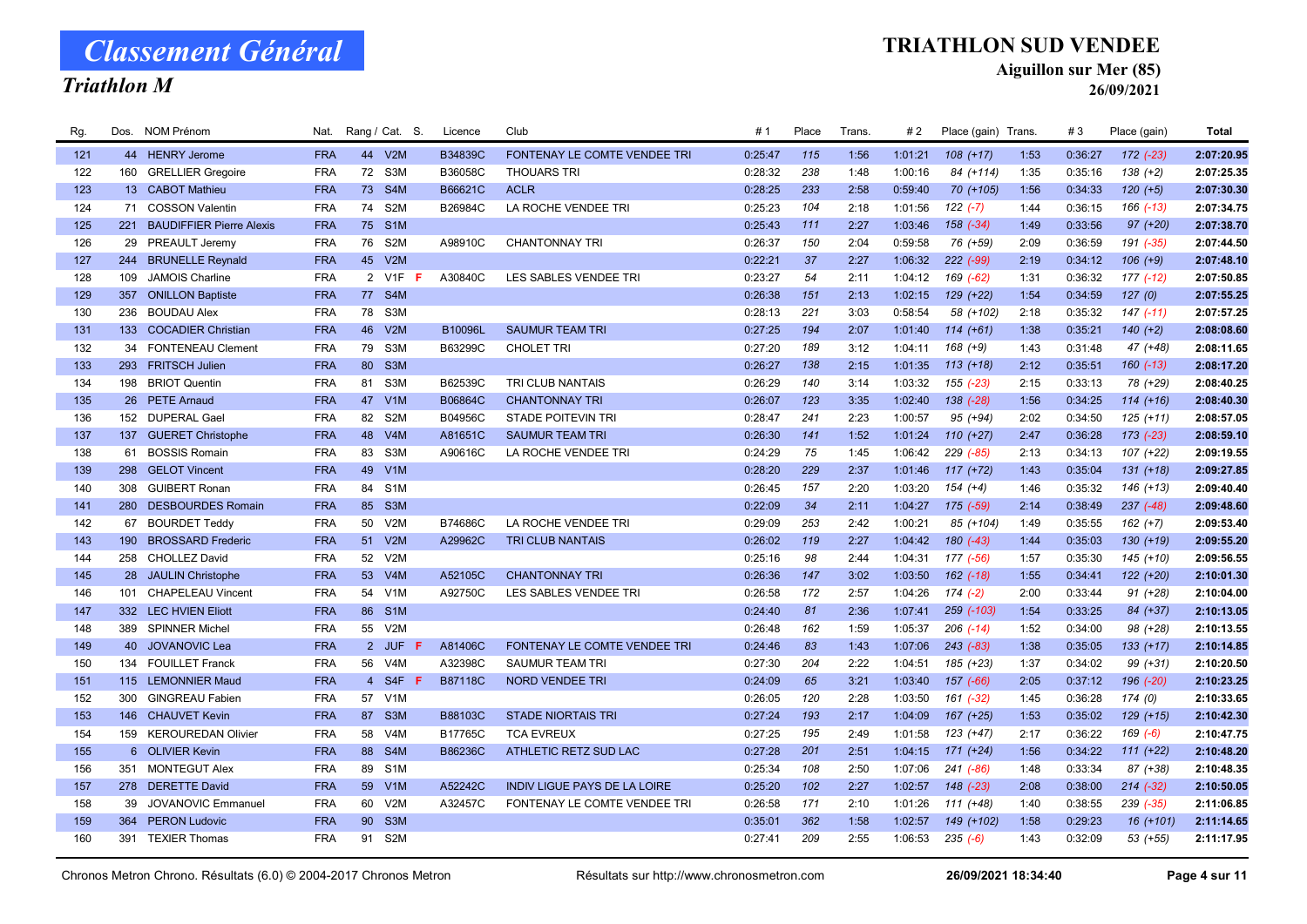### Triathlon M

#### TRIATHLON SUD VENDEE

Aiguillon sur Mer (85)

| Rg. |     | Dos. NOM Prénom                 | Nat.       |                | Rang / Cat. S.   | Licence        | Club                                | #1      | Place | Trans. | #2      | Place (gain) Trans. |      | #3      | Place (gain)  | <b>Total</b> |
|-----|-----|---------------------------------|------------|----------------|------------------|----------------|-------------------------------------|---------|-------|--------|---------|---------------------|------|---------|---------------|--------------|
| 121 |     | 44 HENRY Jerome                 | <b>FRA</b> |                | 44 V2M           | B34839C        | FONTENAY LE COMTE VENDEE TRI        | 0:25:47 | 115   | 1:56   | 1:01:21 | $108 (+17)$         | 1:53 | 0:36:27 | $172$ $(-23)$ | 2:07:20.95   |
| 122 | 160 | <b>GRELLIER Gregoire</b>        | <b>FRA</b> | 72             | S3M              | B36058C        | <b>THOUARS TRI</b>                  | 0:28:32 | 238   | 1:48   | 1:00:16 | 84 (+114)           | 1:35 | 0:35:16 | $138 (+2)$    | 2:07:25.35   |
| 123 |     | 13 CABOT Mathieu                | <b>FRA</b> | 73             | S4M              | B66621C        | <b>ACLR</b>                         | 0:28:25 | 233   | 2:58   | 0:59:40 | 70 (+105)           | 1:56 | 0:34:33 | $120 (+5)$    | 2:07:30.30   |
| 124 |     | 71 COSSON Valentin              | <b>FRA</b> | 74             | S <sub>2</sub> M | B26984C        | LA ROCHE VENDEE TRI                 | 0:25:23 | 104   | 2:18   | 1:01:56 | $122 (-7)$          | 1:44 | 0:36:15 | $166$ $(-13)$ | 2:07:34.75   |
| 125 | 221 | <b>BAUDIFFIER Pierre Alexis</b> | <b>FRA</b> | 75             | S <sub>1</sub> M |                |                                     | 0:25:43 | 111   | 2:27   | 1:03:46 | $158$ $(-34)$       | 1:49 | 0:33:56 | $97 (+20)$    | 2:07:38.70   |
| 126 |     | 29 PREAULT Jeremy               | <b>FRA</b> | 76             | S2M              | A98910C        | <b>CHANTONNAY TRI</b>               | 0:26:37 | 150   | 2:04   | 0:59:58 | 76 (+59)            | 2:09 | 0:36:59 | $191 (-35)$   | 2:07:44.50   |
| 127 | 244 | <b>BRUNELLE Reynald</b>         | <b>FRA</b> | 45             | V2M              |                |                                     | 0:22:21 | 37    | 2:27   | 1:06:32 | 222 (-99)           | 2:19 | 0:34:12 | $106 (+9)$    | 2:07:48.10   |
| 128 | 109 | <b>JAMOIS Charline</b>          | <b>FRA</b> |                | 2 V1F<br>F.      | A30840C        | LES SABLES VENDEE TRI               | 0:23:27 | 54    | 2:11   | 1:04:12 | 169 (-62)           | 1:31 | 0:36:32 | 177 (-12)     | 2:07:50.85   |
| 129 |     | 357 ONILLON Baptiste            | <b>FRA</b> |                | 77 S4M           |                |                                     | 0:26:38 | 151   | 2:13   | 1:02:15 | 129 (+22)           | 1:54 | 0:34:59 | 127(0)        | 2:07:55.25   |
| 130 | 236 | <b>BOUDAU Alex</b>              | <b>FRA</b> | 78             | S3M              |                |                                     | 0:28:13 | 221   | 3:03   | 0:58:54 | 58 (+102)           | 2:18 | 0:35:32 | $147$ $(-11)$ | 2:07:57.25   |
| 131 |     | 133 COCADIER Christian          | <b>FRA</b> | 46             | V2M              | B10096L        | <b>SAUMUR TEAM TRI</b>              | 0:27:25 | 194   | 2:07   | 1:01:40 | $114 (+61)$         | 1:38 | 0:35:21 | $140 (+2)$    | 2:08:08.60   |
| 132 |     | 34 FONTENEAU Clement            | <b>FRA</b> | 79             | S3M              | B63299C        | <b>CHOLET TRI</b>                   | 0:27:20 | 189   | 3:12   | 1:04:11 | $168 (+9)$          | 1:43 | 0:31:48 | 47 (+48)      | 2:08:11.65   |
| 133 |     | 293 FRITSCH Julien              | <b>FRA</b> | 80             | S <sub>3</sub> M |                |                                     | 0:26:27 | 138   | 2:15   | 1:01:35 | $113 (+18)$         | 2:12 | 0:35:51 | $160(-13)$    | 2:08:17.20   |
| 134 |     | 198 BRIOT Quentin               | <b>FRA</b> | 81             | S3M              | B62539C        | TRI CLUB NANTAIS                    | 0:26:29 | 140   | 3:14   | 1:03:32 | $155 (-23)$         | 2:15 | 0:33:13 | 78 (+29)      | 2:08:40.25   |
| 135 |     | 26 PETE Arnaud                  | <b>FRA</b> | 47             | V1M              | B06864C        | <b>CHANTONNAY TRI</b>               | 0:26:07 | 123   | 3:35   | 1:02:40 | $138$ $(-28)$       | 1:56 | 0:34:25 | $114 (+16)$   | 2:08:40.30   |
| 136 |     | 152 DUPERAL Gael                | <b>FRA</b> | 82             | S <sub>2</sub> M | B04956C        | <b>STADE POITEVIN TRI</b>           | 0:28:47 | 241   | 2:23   | 1:00:57 | 95 (+94)            | 2:02 | 0:34:50 | $125 (+11)$   | 2:08:57.05   |
| 137 | 137 | <b>GUERET Christophe</b>        | <b>FRA</b> | 48             | V4M              | A81651C        | <b>SAUMUR TEAM TRI</b>              | 0:26:30 | 141   | 1:52   | 1:01:24 | $110 (+27)$         | 2:47 | 0:36:28 | $173$ $(-23)$ | 2:08:59.10   |
| 138 | 61  | <b>BOSSIS Romain</b>            | <b>FRA</b> | 83             | S <sub>3</sub> M | A90616C        | LA ROCHE VENDEE TRI                 | 0:24:29 | 75    | 1:45   | 1:06:42 | $229$ $(-85)$       | 2:13 | 0:34:13 | 107 (+22)     | 2:09:19.55   |
| 139 | 298 | <b>GELOT Vincent</b>            | <b>FRA</b> | 49             | V1M              |                |                                     | 0:28:20 | 229   | 2:37   | 1:01:46 | $117 (+72)$         | 1:43 | 0:35:04 | $131 (+18)$   | 2:09:27.85   |
| 140 | 308 | <b>GUIBERT Ronan</b>            | <b>FRA</b> | 84             | S <sub>1</sub> M |                |                                     | 0:26:45 | 157   | 2:20   | 1:03:20 | $154 (+4)$          | 1:46 | 0:35:32 | $146 (+13)$   | 2:09:40.40   |
| 141 |     | 280 DESBOURDES Romain           | <b>FRA</b> | 85             | S <sub>3</sub> M |                |                                     | 0:22:09 | 34    | 2:11   | 1:04:27 | $175$ (-59)         | 2:14 | 0:38:49 | $237 (-48)$   | 2:09:48.60   |
| 142 | 67  | <b>BOURDET Teddy</b>            | <b>FRA</b> | 50             | V2M              | B74686C        | LA ROCHE VENDEE TRI                 | 0:29:09 | 253   | 2:42   | 1:00:21 | 85 (+104)           | 1:49 | 0:35:55 | $162 (+7)$    | 2:09:53.40   |
| 143 | 190 | <b>BROSSARD Frederic</b>        | <b>FRA</b> | 51             | V2M              | A29962C        | <b>TRI CLUB NANTAIS</b>             | 0:26:02 | 119   | 2:27   | 1:04:42 | $180(-43)$          | 1:44 | 0:35:03 | 130 (+19)     | 2:09:55.20   |
| 144 | 258 | <b>CHOLLEZ David</b>            | <b>FRA</b> | 52             | V2M              |                |                                     | 0:25:16 | 98    | 2:44   | 1:04:31 | 177 (-56)           | 1:57 | 0:35:30 | $145 (+10)$   | 2:09:56.55   |
| 145 |     | 28 JAULIN Christophe            | <b>FRA</b> | 53             | V4M              | A52105C        | <b>CHANTONNAY TRI</b>               | 0:26:36 | 147   | 3:02   | 1:03:50 | $162$ $(-18)$       | 1:55 | 0:34:41 | $122 (+20)$   | 2:10:01.30   |
| 146 | 101 | <b>CHAPELEAU Vincent</b>        | <b>FRA</b> | 54             | V <sub>1</sub> M | A92750C        | LES SABLES VENDEE TRI               | 0:26:58 | 172   | 2:57   | 1:04:26 | $174(-2)$           | 2:00 | 0:33:44 | $91 (+28)$    | 2:10:04.00   |
| 147 |     | 332 LEC HVIEN Eliott            | <b>FRA</b> | 86             | S <sub>1</sub> M |                |                                     | 0:24:40 | 81    | 2:36   | 1:07:41 | 259 (-103)          | 1:54 | 0:33:25 | 84 (+37)      | 2:10:13.05   |
| 148 |     | 389 SPINNER Michel              | <b>FRA</b> | 55             | V2M              |                |                                     | 0:26:48 | 162   | 1:59   | 1:05:37 | $206$ $(-14)$       | 1:52 | 0:34:00 | 98 (+28)      | 2:10:13.55   |
| 149 |     | 40 JOVANOVIC Lea                | <b>FRA</b> |                | 2 JUF<br>-F      | A81406C        | FONTENAY LE COMTE VENDEE TRI        | 0:24:46 | 83    | 1:43   | 1:07:06 | $243$ $(-83)$       | 1:38 | 0:35:05 | $133 (+17)$   | 2:10:14.85   |
| 150 |     | 134 FOUILLET Franck             | <b>FRA</b> | 56             | V <sub>4</sub> M | A32398C        | <b>SAUMUR TEAM TRI</b>              | 0:27:30 | 204   | 2:22   | 1:04:51 | 185 (+23)           | 1:37 | 0:34:02 | 99 (+31)      | 2:10:20.50   |
| 151 |     | 115 LEMONNIER Maud              | <b>FRA</b> | 4 <sup>1</sup> | S4F F            | <b>B87118C</b> | <b>NORD VENDEE TRI</b>              | 0:24:09 | 65    | 3:21   | 1:03:40 | 157 (-66)           | 2:05 | 0:37:12 | 196 (-20)     | 2:10:23.25   |
| 152 | 300 | <b>GINGREAU Fabien</b>          | <b>FRA</b> | 57             | V <sub>1</sub> M |                |                                     | 0:26:05 | 120   | 2:28   | 1:03:50 | 161 (-32)           | 1:45 | 0:36:28 | 174(0)        | 2:10:33.65   |
| 153 |     | 146 CHAUVET Kevin               | <b>FRA</b> | 87             | S <sub>3</sub> M | B88103C        | <b>STADE NIORTAIS TRI</b>           | 0:27:24 | 193   | 2:17   | 1:04:09 | $167 (+25)$         | 1:53 | 0:35:02 | $129 (+15)$   | 2:10:42.30   |
| 154 |     | 159 KEROUREDAN Olivier          | <b>FRA</b> | 58             | V4M              | B17765C        | <b>TCA EVREUX</b>                   | 0:27:25 | 195   | 2:49   | 1:01:58 | $123 (+47)$         | 2:17 | 0:36:22 | $169(-6)$     | 2:10:47.75   |
| 155 |     | 6 OLIVIER Kevin                 | <b>FRA</b> | 88             | S <sub>4</sub> M | B86236C        | ATHLETIC RETZ SUD LAC               | 0:27:28 | 201   | 2:51   | 1:04:15 | $171 (+24)$         | 1:56 | 0:34:22 | $111 (+22)$   | 2:10:48.20   |
| 156 | 351 | <b>MONTEGUT Alex</b>            | <b>FRA</b> | 89             | S <sub>1</sub> M |                |                                     | 0:25:34 | 108   | 2:50   | 1:07:06 | $241 (-86)$         | 1:48 | 0:33:34 | 87 (+38)      | 2:10:48.35   |
| 157 |     | 278 DERETTE David               | <b>FRA</b> | 59             | V1M              | A52242C        | <b>INDIV LIGUE PAYS DE LA LOIRE</b> | 0:25:20 | 102   | 2:27   | 1:02:57 | $148$ $(-23)$       | 2:08 | 0:38:00 | $214 (-32)$   | 2:10:50.05   |
| 158 | 39  | JOVANOVIC Emmanuel              | <b>FRA</b> | 60             | V2M              | A32457C        | FONTENAY LE COMTE VENDEE TRI        | 0:26:58 | 171   | 2:10   | 1:01:26 | 111 (+48)           | 1:40 | 0:38:55 | 239 (-35)     | 2:11:06.85   |
| 159 | 364 | <b>PERON Ludovic</b>            | <b>FRA</b> | 90             | S <sub>3</sub> M |                |                                     | 0:35:01 | 362   | 1:58   | 1:02:57 | 149 (+102)          | 1:58 | 0:29:23 | $16 (+101)$   | 2:11:14.65   |
| 160 |     | 391 TEXIER Thomas               | <b>FRA</b> | 91             | S2M              |                |                                     | 0:27:41 | 209   | 2:55   | 1:06:53 | $235(-6)$           | 1:43 | 0:32:09 | $53$ $(+55)$  | 2:11:17.95   |
|     |     |                                 |            |                |                  |                |                                     |         |       |        |         |                     |      |         |               |              |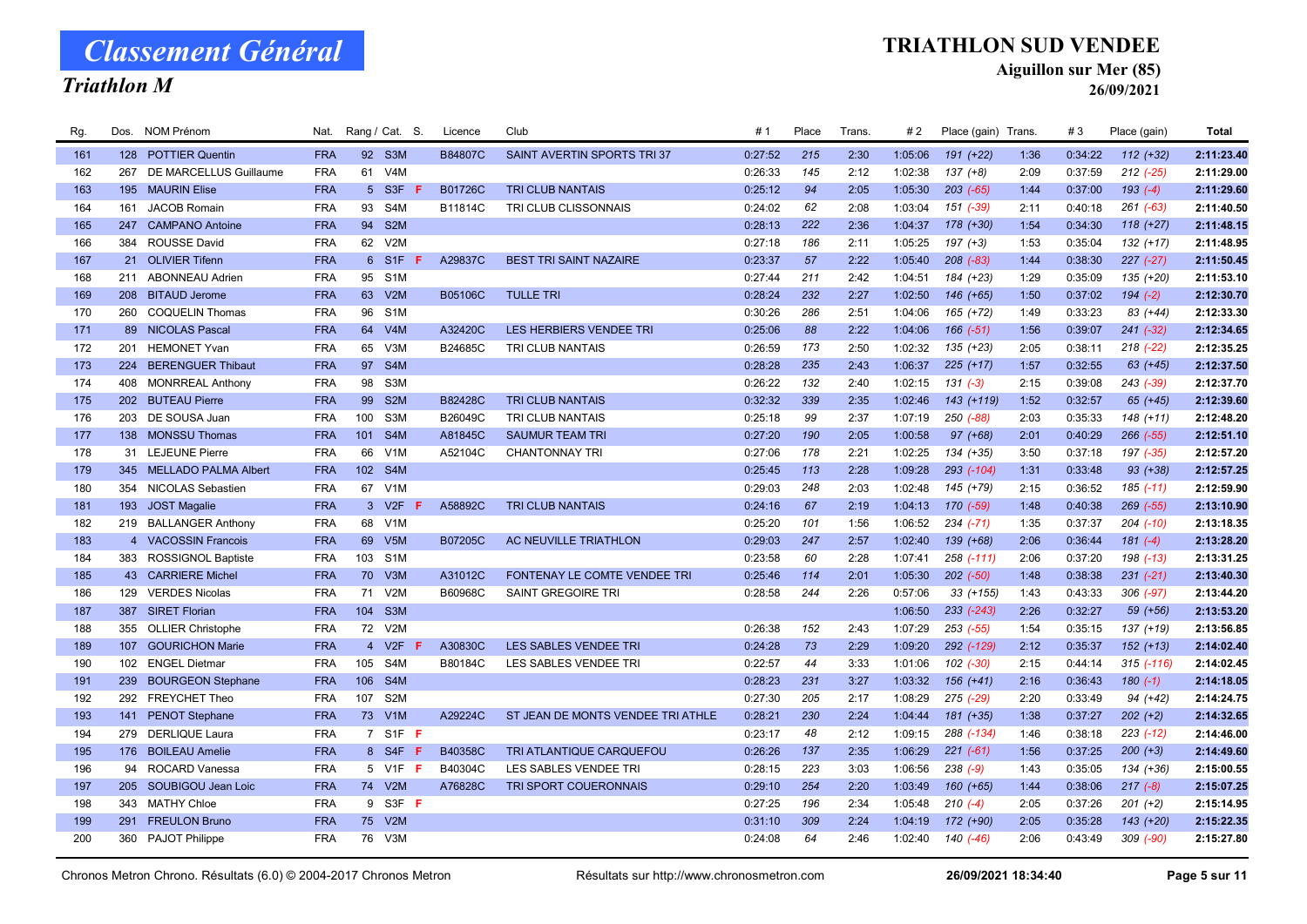### Triathlon M

#### TRIATHLON SUD VENDEE

Aiguillon sur Mer (85)

| Rg. |     | Dos. NOM Prénom          | Nat.       |                | Rang / Cat. S.   | Licence | Club                              | #1      | Place | Trans. | #2      | Place (gain) Trans. |      | #3      | Place (gain)   | <b>Total</b> |
|-----|-----|--------------------------|------------|----------------|------------------|---------|-----------------------------------|---------|-------|--------|---------|---------------------|------|---------|----------------|--------------|
| 161 |     | 128 POTTIER Quentin      | <b>FRA</b> |                | 92 S3M           | B84807C | SAINT AVERTIN SPORTS TRI 37       | 0:27:52 | 215   | 2:30   | 1:05:06 | $191 (+22)$         | 1:36 | 0:34:22 | $112 (+32)$    | 2:11:23.40   |
| 162 | 267 | DE MARCELLUS Guillaume   | <b>FRA</b> | 61             | V <sub>4</sub> M |         |                                   | 0:26:33 | 145   | 2:12   | 1:02:38 | $137 (+8)$          | 2:09 | 0:37:59 | $212$ $(-25)$  | 2:11:29.00   |
| 163 | 195 | <b>MAURIN Elise</b>      | <b>FRA</b> |                | 5 S3F            | B01726C | <b>TRI CLUB NANTAIS</b>           | 0:25:12 | 94    | 2:05   | 1:05:30 | $203$ $(-65)$       | 1:44 | 0:37:00 | $193(-4)$      | 2:11:29.60   |
| 164 | 161 | <b>JACOB Romain</b>      | <b>FRA</b> | 93             | S4M              | B11814C | <b>TRI CLUB CLISSONNAIS</b>       | 0:24:02 | 62    | 2:08   | 1:03:04 | 151 (-39)           | 2:11 | 0:40:18 | $261 (-63)$    | 2:11:40.50   |
| 165 | 247 | <b>CAMPANO Antoine</b>   | <b>FRA</b> | 94             | S <sub>2</sub> M |         |                                   | 0:28:13 | 222   | 2:36   | 1:04:37 | 178 (+30)           | 1:54 | 0:34:30 | $118 (+27)$    | 2:11:48.15   |
| 166 |     | 384 ROUSSE David         | <b>FRA</b> |                | 62 V2M           |         |                                   | 0:27:18 | 186   | 2:11   | 1:05:25 | $197 (+3)$          | 1:53 | 0:35:04 | $132 (+17)$    | 2:11:48.95   |
| 167 |     | 21 OLIVIER Tifenn        | <b>FRA</b> | 6 <sup>1</sup> | S1F              | A29837C | <b>BEST TRI SAINT NAZAIRE</b>     | 0:23:37 | 57    | 2:22   | 1:05:40 | $208$ $(-83)$       | 1:44 | 0:38:30 | $227 (-27)$    | 2:11:50.45   |
| 168 | 211 | <b>ABONNEAU Adrien</b>   | <b>FRA</b> |                | 95 S1M           |         |                                   | 0:27:44 | 211   | 2:42   | 1:04:51 | 184 (+23)           | 1:29 | 0:35:09 | 135 (+20)      | 2:11:53.10   |
| 169 |     | 208 BITAUD Jerome        | <b>FRA</b> |                | 63 V2M           | B05106C | <b>TULLE TRI</b>                  | 0:28:24 | 232   | 2:27   | 1:02:50 | 146 (+65)           | 1:50 | 0:37:02 | $194 (-2)$     | 2:12:30.70   |
| 170 | 260 | <b>COQUELIN Thomas</b>   | <b>FRA</b> | 96             | S <sub>1</sub> M |         |                                   | 0:30:26 | 286   | 2:51   | 1:04:06 | 165 (+72)           | 1:49 | 0:33:23 | 83 (+44)       | 2:12:33.30   |
| 171 |     | 89 NICOLAS Pascal        | <b>FRA</b> | 64             | V4M              | A32420C | LES HERBIERS VENDEE TRI           | 0:25:06 | 88    | 2:22   | 1:04:06 | $166(-51)$          | 1:56 | 0:39:07 | $241 (-32)$    | 2:12:34.65   |
| 172 | 201 | <b>HEMONET Yvan</b>      | <b>FRA</b> | 65             | V3M              | B24685C | TRI CLUB NANTAIS                  | 0:26:59 | 173   | 2:50   | 1:02:32 | 135 (+23)           | 2:05 | 0:38:11 | $218$ $(-22)$  | 2:12:35.25   |
| 173 |     | 224 BERENGUER Thibaut    | <b>FRA</b> | 97             | S4M              |         |                                   | 0:28:28 | 235   | 2:43   | 1:06:37 | $225 (+17)$         | 1:57 | 0:32:55 | $63 (+45)$     | 2:12:37.50   |
| 174 |     | 408 MONRREAL Anthony     | <b>FRA</b> | 98             | S <sub>3</sub> M |         |                                   | 0:26:22 | 132   | 2:40   | 1:02:15 | $131 (-3)$          | 2:15 | 0:39:08 | 243 (-39)      | 2:12:37.70   |
| 175 |     | 202 BUTEAU Pierre        | <b>FRA</b> | 99             | S <sub>2</sub> M | B82428C | <b>TRI CLUB NANTAIS</b>           | 0:32:32 | 339   | 2:35   | 1:02:46 | 143 (+119)          | 1:52 | 0:32:57 | 65 (+45)       | 2:12:39.60   |
| 176 |     | 203 DE SOUSA Juan        | <b>FRA</b> | 100            | S3M              | B26049C | TRI CLUB NANTAIS                  | 0:25:18 | 99    | 2:37   | 1:07:19 | 250 (-88)           | 2:03 | 0:35:33 | $148 (+11)$    | 2:12:48.20   |
| 177 |     | 138 MONSSU Thomas        | <b>FRA</b> | 101            | S4M              | A81845C | <b>SAUMUR TEAM TRI</b>            | 0:27:20 | 190   | 2:05   | 1:00:58 | $97 (+68)$          | 2:01 | 0:40:29 | $266 (-55)$    | 2:12:51.10   |
| 178 |     | 31 LEJEUNE Pierre        | <b>FRA</b> | 66             | V1M              | A52104C | CHANTONNAY TRI                    | 0:27:06 | 178   | 2:21   | 1:02:25 | 134 (+35)           | 3:50 | 0:37:18 | 197 (-35)      | 2:12:57.20   |
| 179 |     | 345 MELLADO PALMA Albert | <b>FRA</b> |                | 102 S4M          |         |                                   | 0:25:45 | 113   | 2:28   | 1:09:28 | 293 (-104)          | 1:31 | 0:33:48 | $93 (+38)$     | 2:12:57.25   |
| 180 |     | 354 NICOLAS Sebastien    | <b>FRA</b> | 67             | V <sub>1</sub> M |         |                                   | 0:29:03 | 248   | 2:03   | 1:02:48 | 145 (+79)           | 2:15 | 0:36:52 | $185$ $(-11)$  | 2:12:59.90   |
| 181 |     | 193 JOST Magalie         | <b>FRA</b> |                | 3 V2F            | A58892C | <b>TRI CLUB NANTAIS</b>           | 0:24:16 | 67    | 2:19   | 1:04:13 | $170(-59)$          | 1:48 | 0:40:38 | $269$ $(-55)$  | 2:13:10.90   |
| 182 |     | 219 BALLANGER Anthony    | <b>FRA</b> | 68             | V1M              |         |                                   | 0:25:20 | 101   | 1:56   | 1:06:52 | $234 (-71)$         | 1:35 | 0:37:37 | $204$ $(-10)$  | 2:13:18.35   |
| 183 |     | 4 VACOSSIN Francois      | <b>FRA</b> | 69             | V <sub>5</sub> M | B07205C | AC NEUVILLE TRIATHLON             | 0:29:03 | 247   | 2:57   | 1:02:40 | 139 (+68)           | 2:06 | 0:36:44 | $181(-4)$      | 2:13:28.20   |
| 184 |     | 383 ROSSIGNOL Baptiste   | <b>FRA</b> | 103            | S <sub>1</sub> M |         |                                   | 0:23:58 | 60    | 2:28   | 1:07:41 | 258 (-111)          | 2:06 | 0:37:20 | 198 (-13)      | 2:13:31.25   |
| 185 |     | 43 CARRIERE Michel       | <b>FRA</b> | 70             | V3M              | A31012C | FONTENAY LE COMTE VENDEE TRI      | 0:25:46 | 114   | 2:01   | 1:05:30 | $202 (-50)$         | 1:48 | 0:38:38 | $231 (-21)$    | 2:13:40.30   |
| 186 |     | 129 VERDES Nicolas       | <b>FRA</b> | 71             | V2M              | B60968C | SAINT GREGOIRE TRI                | 0:28:58 | 244   | 2:26   | 0:57:06 | $33 (+155)$         | 1:43 | 0:43:33 | $306$ $(-97)$  | 2:13:44.20   |
| 187 | 387 | <b>SIRET Florian</b>     | <b>FRA</b> | 104            | S <sub>3</sub> M |         |                                   |         |       |        | 1:06:50 | 233 (-243)          | 2:26 | 0:32:27 | 59 (+56)       | 2:13:53.20   |
| 188 | 355 | <b>OLLIER Christophe</b> | <b>FRA</b> |                | 72 V2M           |         |                                   | 0:26:38 | 152   | 2:43   | 1:07:29 | $253$ $(-55)$       | 1:54 | 0:35:15 | 137 (+19)      | 2:13:56.85   |
| 189 |     | 107 GOURICHON Marie      | <b>FRA</b> |                | 4 V2F            | A30830C | <b>LES SABLES VENDEE TRI</b>      | 0:24:28 | 73    | 2:29   | 1:09:20 | 292 (-129)          | 2:12 | 0:35:37 | $152 (+13)$    | 2:14:02.40   |
| 190 |     | 102 ENGEL Dietmar        | <b>FRA</b> | 105            | S4M              | B80184C | LES SABLES VENDEE TRI             | 0:22:57 | 44    | 3:33   | 1:01:06 | 102 (-30)           | 2:15 | 0:44:14 | $315$ $(-116)$ | 2:14:02.45   |
| 191 |     | 239 BOURGEON Stephane    | <b>FRA</b> | 106            | S4M              |         |                                   | 0:28:23 | 231   | 3:27   | 1:03:32 | $156 (+41)$         | 2:16 | 0:36:43 | $180(-1)$      | 2:14:18.05   |
| 192 |     | 292 FREYCHET Theo        | <b>FRA</b> | 107            | S <sub>2</sub> M |         |                                   | 0:27:30 | 205   | 2:17   | 1:08:29 | 275 (-29)           | 2:20 | 0:33:49 | 94 (+42)       | 2:14:24.75   |
| 193 |     | 141 PENOT Stephane       | <b>FRA</b> |                | 73 V1M           | A29224C | ST JEAN DE MONTS VENDEE TRI ATHLE | 0:28:21 | 230   | 2:24   | 1:04:44 | 181 (+35)           | 1:38 | 0:37:27 | $202 (+2)$     | 2:14:32.65   |
| 194 | 279 | <b>DERLIQUE Laura</b>    | <b>FRA</b> |                | 7 S1F F          |         |                                   | 0:23:17 | 48    | 2:12   | 1:09:15 | 288 (-134)          | 1:46 | 0:38:18 | $223$ $(-12)$  | 2:14:46.00   |
| 195 |     | 176 BOILEAU Amelie       | <b>FRA</b> |                | 8 S4F<br>-F      | B40358C | TRI ATLANTIQUE CARQUEFOU          | 0:26:26 | 137   | 2:35   | 1:06:29 | $221 (-61)$         | 1:56 | 0:37:25 | $200 (+3)$     | 2:14:49.60   |
| 196 |     | 94 ROCARD Vanessa        | <b>FRA</b> |                | 5 V1F F          | B40304C | LES SABLES VENDEE TRI             | 0:28:15 | 223   | 3:03   | 1:06:56 | $238 (-9)$          | 1:43 | 0:35:05 | 134 (+36)      | 2:15:00.55   |
| 197 | 205 | SOUBIGOU Jean Loic       | <b>FRA</b> | 74             | V2M              | A76828C | TRI SPORT COUERONNAIS             | 0:29:10 | 254   | 2:20   | 1:03:49 | 160 (+65)           | 1:44 | 0:38:06 | $217(-8)$      | 2:15:07.25   |
| 198 | 343 | <b>MATHY Chloe</b>       | <b>FRA</b> |                | 9 S3F F          |         |                                   | 0:27:25 | 196   | 2:34   | 1:05:48 | $210(-4)$           | 2:05 | 0:37:26 | $201 (+2)$     | 2:15:14.95   |
| 199 | 291 | <b>FREULON Bruno</b>     | <b>FRA</b> | 75             | V2M              |         |                                   | 0:31:10 | 309   | 2:24   | 1:04:19 | 172 (+90)           | 2:05 | 0:35:28 | 143 (+20)      | 2:15:22.35   |
| 200 |     | 360 PAJOT Philippe       | <b>FRA</b> |                | 76 V3M           |         |                                   | 0:24:08 | 64    | 2:46   | 1:02:40 | 140 (-46)           | 2:06 | 0:43:49 | 309 (-90)      | 2:15:27.80   |
|     |     |                          |            |                |                  |         |                                   |         |       |        |         |                     |      |         |                |              |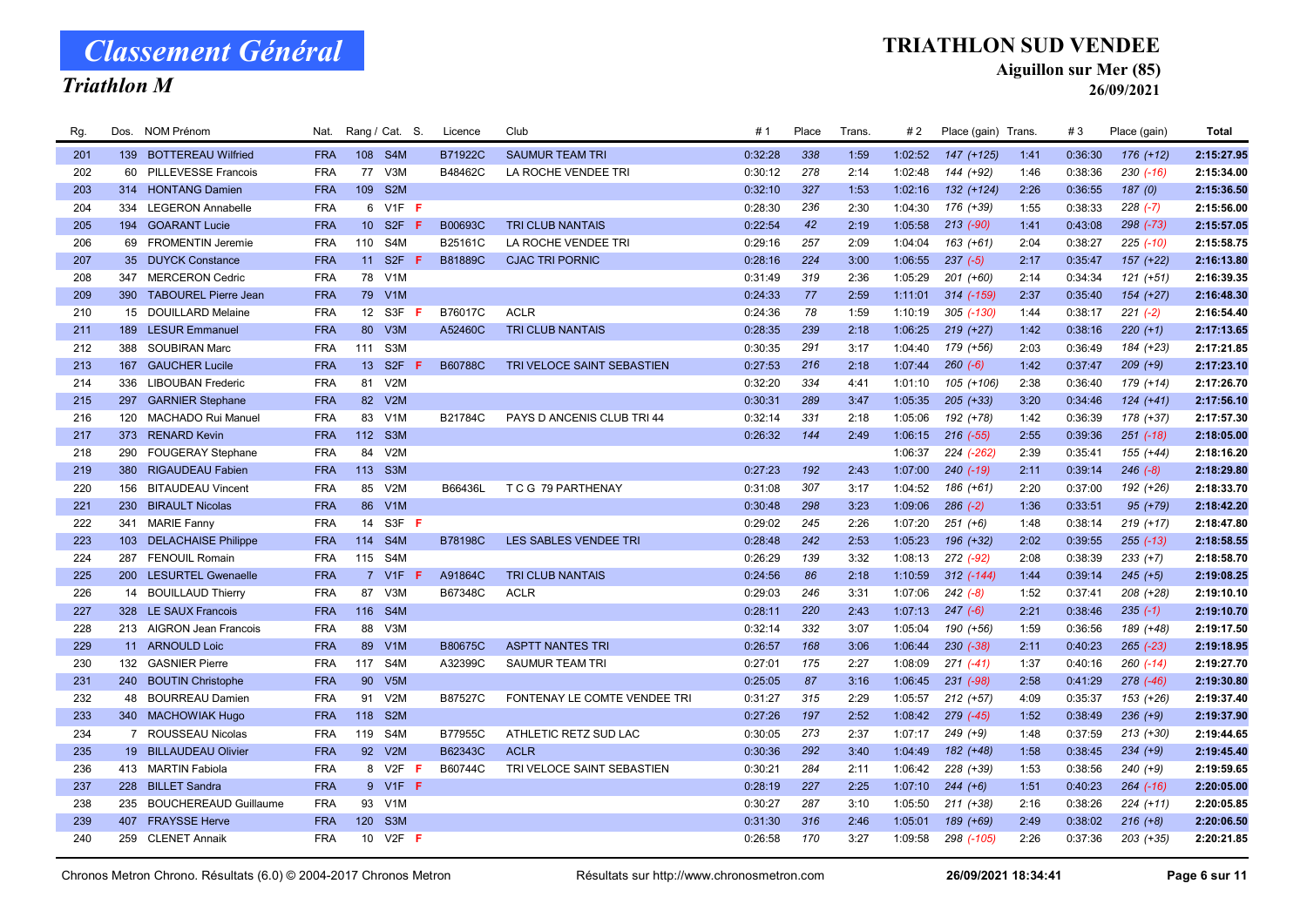### Triathlon M

### TRIATHLON SUD VENDEE

Aiguillon sur Mer (85)

| Rg. |                 | Dos. NOM Prénom              | Nat.       |                 | Rang / Cat. S.        | Licence        | Club                         | #1      | Place | Trans. | #2      | Place (gain) Trans. |      | #3      | Place (gain)  | <b>Total</b> |
|-----|-----------------|------------------------------|------------|-----------------|-----------------------|----------------|------------------------------|---------|-------|--------|---------|---------------------|------|---------|---------------|--------------|
| 201 |                 | 139 BOTTEREAU Wilfried       | <b>FRA</b> |                 | 108 S4M               | B71922C        | <b>SAUMUR TEAM TRI</b>       | 0:32:28 | 338   | 1:59   | 1:02:52 | $147 (+125)$        | 1:41 | 0:36:30 | $176 (+12)$   | 2:15:27.95   |
| 202 | 60              | <b>PILLEVESSE Francois</b>   | <b>FRA</b> | 77              | V3M                   | B48462C        | LA ROCHE VENDEE TRI          | 0:30:12 | 278   | 2:14   | 1:02:48 | 144 (+92)           | 1:46 | 0:38:36 | $230( -16)$   | 2:15:34.00   |
| 203 | 314             | <b>HONTANG Damien</b>        | <b>FRA</b> | 109             | S <sub>2</sub> M      |                |                              | 0:32:10 | 327   | 1:53   | 1:02:16 | $132 (+124)$        | 2:26 | 0:36:55 | 187(0)        | 2:15:36.50   |
| 204 | 334             | <b>LEGERON Annabelle</b>     | <b>FRA</b> |                 | 6 V1F F               |                |                              | 0:28:30 | 236   | 2:30   | 1:04:30 | 176 (+39)           | 1:55 | 0:38:33 | $228 (-7)$    | 2:15:56.00   |
| 205 | 194             | <b>GOARANT Lucie</b>         | <b>FRA</b> | 10 <sup>°</sup> | S <sub>2F</sub><br>-F | B00693C        | <b>TRI CLUB NANTAIS</b>      | 0:22:54 | 42    | 2:19   | 1:05:58 | $213$ (-90)         | 1:41 | 0:43:08 | 298 (-73)     | 2:15:57.05   |
| 206 |                 | 69 FROMENTIN Jeremie         | <b>FRA</b> | 110             | S <sub>4</sub> M      | B25161C        | LA ROCHE VENDEE TRI          | 0:29:16 | 257   | 2:09   | 1:04:04 | $163 (+61)$         | 2:04 | 0:38:27 | $225$ $(-10)$ | 2:15:58.75   |
| 207 | 35 <sup>5</sup> | <b>DUYCK Constance</b>       | <b>FRA</b> | 11              | S <sub>2F</sub><br>-F | <b>B81889C</b> | <b>CJAC TRI PORNIC</b>       | 0:28:16 | 224   | 3:00   | 1:06:55 | $237 (-5)$          | 2:17 | 0:35:47 | $157 (+22)$   | 2:16:13.80   |
| 208 | 347             | <b>MERCERON Cedric</b>       | <b>FRA</b> |                 | 78 V1M                |                |                              | 0:31:49 | 319   | 2:36   | 1:05:29 | $201 (+60)$         | 2:14 | 0:34:34 | $121 (+51)$   | 2:16:39.35   |
| 209 |                 | 390 TABOUREL Pierre Jean     | <b>FRA</b> |                 | 79 V1M                |                |                              | 0:24:33 | 77    | 2:59   | 1:11:01 | 314 (-159)          | 2:37 | 0:35:40 | $154 (+27)$   | 2:16:48.30   |
| 210 |                 | 15 DOUILLARD Melaine         | <b>FRA</b> | 12              | S3F                   | B76017C        | <b>ACLR</b>                  | 0:24:36 | 78    | 1:59   | 1:10:19 | 305 (-130)          | 1:44 | 0:38:17 | $221 (-2)$    | 2:16:54.40   |
| 211 |                 | 189 LESUR Emmanuel           | <b>FRA</b> | 80              | V3M                   | A52460C        | <b>TRI CLUB NANTAIS</b>      | 0:28:35 | 239   | 2:18   | 1:06:25 | $219 (+27)$         | 1:42 | 0:38:16 | $220 (+1)$    | 2:17:13.65   |
| 212 |                 | 388 SOUBIRAN Marc            | <b>FRA</b> | 111             | S3M                   |                |                              | 0:30:35 | 291   | 3:17   | 1:04:40 | 179 (+56)           | 2:03 | 0:36:49 | 184 (+23)     | 2:17:21.85   |
| 213 | 167             | <b>GAUCHER Lucile</b>        | <b>FRA</b> | 13 <sup>7</sup> | S <sub>2F</sub>       | B60788C        | TRI VELOCE SAINT SEBASTIEN   | 0:27:53 | 216   | 2:18   | 1:07:44 | $260 (-6)$          | 1:42 | 0:37:47 | $209 (+9)$    | 2:17:23.10   |
| 214 | 336             | <b>LIBOUBAN Frederic</b>     | <b>FRA</b> | 81              | V2M                   |                |                              | 0:32:20 | 334   | 4:41   | 1:01:10 | 105 (+106)          | 2:38 | 0:36:40 | 179 (+14)     | 2:17:26.70   |
| 215 | 297             | <b>GARNIER Stephane</b>      | <b>FRA</b> | 82              | V2M                   |                |                              | 0:30:31 | 289   | 3:47   | 1:05:35 | $205$ (+33)         | 3:20 | 0:34:46 | $124 (+41)$   | 2:17:56.10   |
| 216 | 120             | MACHADO Rui Manuel           | <b>FRA</b> |                 | 83 V1M                | B21784C        | PAYS D ANCENIS CLUB TRI 44   | 0:32:14 | 331   | 2:18   | 1:05:06 | 192 (+78)           | 1:42 | 0:36:39 | 178 (+37)     | 2:17:57.30   |
| 217 | 373             | <b>RENARD Kevin</b>          | <b>FRA</b> | 112             | S <sub>3</sub> M      |                |                              | 0:26:32 | 144   | 2:49   | 1:06:15 | $216$ $(-55)$       | 2:55 | 0:39:36 | $251$ $(-18)$ | 2:18:05.00   |
| 218 | 290             | <b>FOUGERAY Stephane</b>     | <b>FRA</b> | 84              | V2M                   |                |                              |         |       |        | 1:06:37 | 224 (-262)          | 2:39 | 0:35:41 | 155 (+44)     | 2:18:16.20   |
| 219 |                 | 380 RIGAUDEAU Fabien         | <b>FRA</b> |                 | 113 S3M               |                |                              | 0:27:23 | 192   | 2:43   | 1:07:00 | $240(-19)$          | 2:11 | 0:39:14 | $246 (-8)$    | 2:18:29.80   |
| 220 | 156             | <b>BITAUDEAU Vincent</b>     | <b>FRA</b> | 85              | V2M                   | B66436L        | T C G 79 PARTHENAY           | 0:31:08 | 307   | 3:17   | 1:04:52 | 186 (+61)           | 2:20 | 0:37:00 | 192 (+26)     | 2:18:33.70   |
| 221 | 230             | <b>BIRAULT Nicolas</b>       | <b>FRA</b> | 86              | V1M                   |                |                              | 0:30:48 | 298   | 3:23   | 1:09:06 | $286$ $(-2)$        | 1:36 | 0:33:51 | $95 (+79)$    | 2:18:42.20   |
| 222 |                 | 341 MARIE Fanny              | <b>FRA</b> | 14              | S3F F                 |                |                              | 0:29:02 | 245   | 2:26   | 1:07:20 | $251 (+6)$          | 1:48 | 0:38:14 | $219 (+17)$   | 2:18:47.80   |
| 223 |                 | 103 DELACHAISE Philippe      | <b>FRA</b> | 114             | S4M                   | <b>B78198C</b> | LES SABLES VENDEE TRI        | 0:28:48 | 242   | 2:53   | 1:05:23 | 196 (+32)           | 2:02 | 0:39:55 | $255 (-13)$   | 2:18:58.55   |
| 224 | 287             | <b>FENOUIL Romain</b>        | <b>FRA</b> | 115             | S4M                   |                |                              | 0:26:29 | 139   | 3:32   | 1:08:13 | 272 (-92)           | 2:08 | 0:38:39 | $233 (+7)$    | 2:18:58.70   |
| 225 | 200             | <b>LESURTEL Gwenaelle</b>    | <b>FRA</b> |                 | 7 V1F                 | A91864C        | <b>TRI CLUB NANTAIS</b>      | 0:24:56 | 86    | 2:18   | 1:10:59 | $312$ (-144)        | 1:44 | 0:39:14 | $245 (+5)$    | 2:19:08.25   |
| 226 |                 | 14 BOUILLAUD Thierry         | <b>FRA</b> | 87              | V3M                   | B67348C        | <b>ACLR</b>                  | 0:29:03 | 246   | 3:31   | 1:07:06 | $242 (-8)$          | 1:52 | 0:37:41 | 208 (+28)     | 2:19:10.10   |
| 227 | 328             | <b>LE SAUX Francois</b>      | <b>FRA</b> | 116             | S4M                   |                |                              | 0:28:11 | 220   | 2:43   | 1:07:13 | $247(-6)$           | 2:21 | 0:38:46 | $235(-1)$     | 2:19:10.70   |
| 228 |                 | 213 AIGRON Jean Francois     | <b>FRA</b> | 88              | V3M                   |                |                              | 0:32:14 | 332   | 3:07   | 1:05:04 | 190 (+56)           | 1:59 | 0:36:56 | 189 (+48)     | 2:19:17.50   |
| 229 |                 | 11 ARNOULD Loic              | <b>FRA</b> |                 | 89 V1M                | B80675C        | <b>ASPTT NANTES TRI</b>      | 0:26:57 | 168   | 3:06   | 1:06:44 | 230 (-38)           | 2:11 | 0:40:23 | $265$ $(-23)$ | 2:19:18.95   |
| 230 |                 | 132 GASNIER Pierre           | <b>FRA</b> | 117             | S4M                   | A32399C        | SAUMUR TEAM TRI              | 0:27:01 | 175   | 2:27   | 1:08:09 | $271(-41)$          | 1:37 | 0:40:16 | $260 (-14)$   | 2:19:27.70   |
| 231 |                 | 240 BOUTIN Christophe        | <b>FRA</b> | 90              | V5M                   |                |                              | 0:25:05 | 87    | 3:16   | 1:06:45 | 231 (-98)           | 2:58 | 0:41:29 | $278$ $(-46)$ | 2:19:30.80   |
| 232 |                 | 48 BOURREAU Damien           | <b>FRA</b> | 91              | V2M                   | B87527C        | FONTENAY LE COMTE VENDEE TRI | 0:31:27 | 315   | 2:29   | 1:05:57 | $212 (+57)$         | 4:09 | 0:35:37 | 153 (+26)     | 2:19:37.40   |
| 233 |                 | 340 MACHOWIAK Hugo           | <b>FRA</b> | 118             | S <sub>2</sub> M      |                |                              | 0:27:26 | 197   | 2:52   | 1:08:42 | 279 (-45)           | 1:52 | 0:38:49 | $236 (+9)$    | 2:19:37.90   |
| 234 |                 | 7 ROUSSEAU Nicolas           | <b>FRA</b> | 119             | S4M                   | B77955C        | ATHLETIC RETZ SUD LAC        | 0:30:05 | 273   | 2:37   | 1:07:17 | $249 (+9)$          | 1:48 | 0:37:59 | $213 (+30)$   | 2:19:44.65   |
| 235 |                 | 19 BILLAUDEAU Olivier        | <b>FRA</b> | 92              | V2M                   | B62343C        | <b>ACLR</b>                  | 0:30:36 | 292   | 3:40   | 1:04:49 | 182 (+48)           | 1:58 | 0:38:45 | $234 (+9)$    | 2:19:45.40   |
| 236 |                 | 413 MARTIN Fabiola           | <b>FRA</b> | 8               | V2F<br>Æ              | B60744C        | TRI VELOCE SAINT SEBASTIEN   | 0:30:21 | 284   | 2:11   | 1:06:42 | 228 (+39)           | 1:53 | 0:38:56 | $240 (+9)$    | 2:19:59.65   |
| 237 | 228             | <b>BILLET Sandra</b>         | <b>FRA</b> |                 | 9 V1F F               |                |                              | 0:28:19 | 227   | 2:25   | 1:07:10 | $244 (+6)$          | 1:51 | 0:40:23 | $264$ (-16)   | 2:20:05.00   |
| 238 | 235             | <b>BOUCHEREAUD Guillaume</b> | <b>FRA</b> |                 | 93 V1M                |                |                              | 0:30:27 | 287   | 3:10   | 1:05:50 | $211 (+38)$         | 2:16 | 0:38:26 | $224 (+11)$   | 2:20:05.85   |
| 239 |                 | 407 FRAYSSE Herve            | <b>FRA</b> | 120             | S <sub>3</sub> M      |                |                              | 0:31:30 | 316   | 2:46   | 1:05:01 | 189 (+69)           | 2:49 | 0:38:02 | $216 (+8)$    | 2:20:06.50   |
| 240 |                 | 259 CLENET Annaik            | <b>FRA</b> |                 | 10 V2F <b>F</b>       |                |                              | 0:26:58 | 170   | 3:27   | 1:09:58 | 298 (-105)          | 2:26 | 0:37:36 | 203 (+35)     | 2:20:21.85   |
|     |                 |                              |            |                 |                       |                |                              |         |       |        |         |                     |      |         |               |              |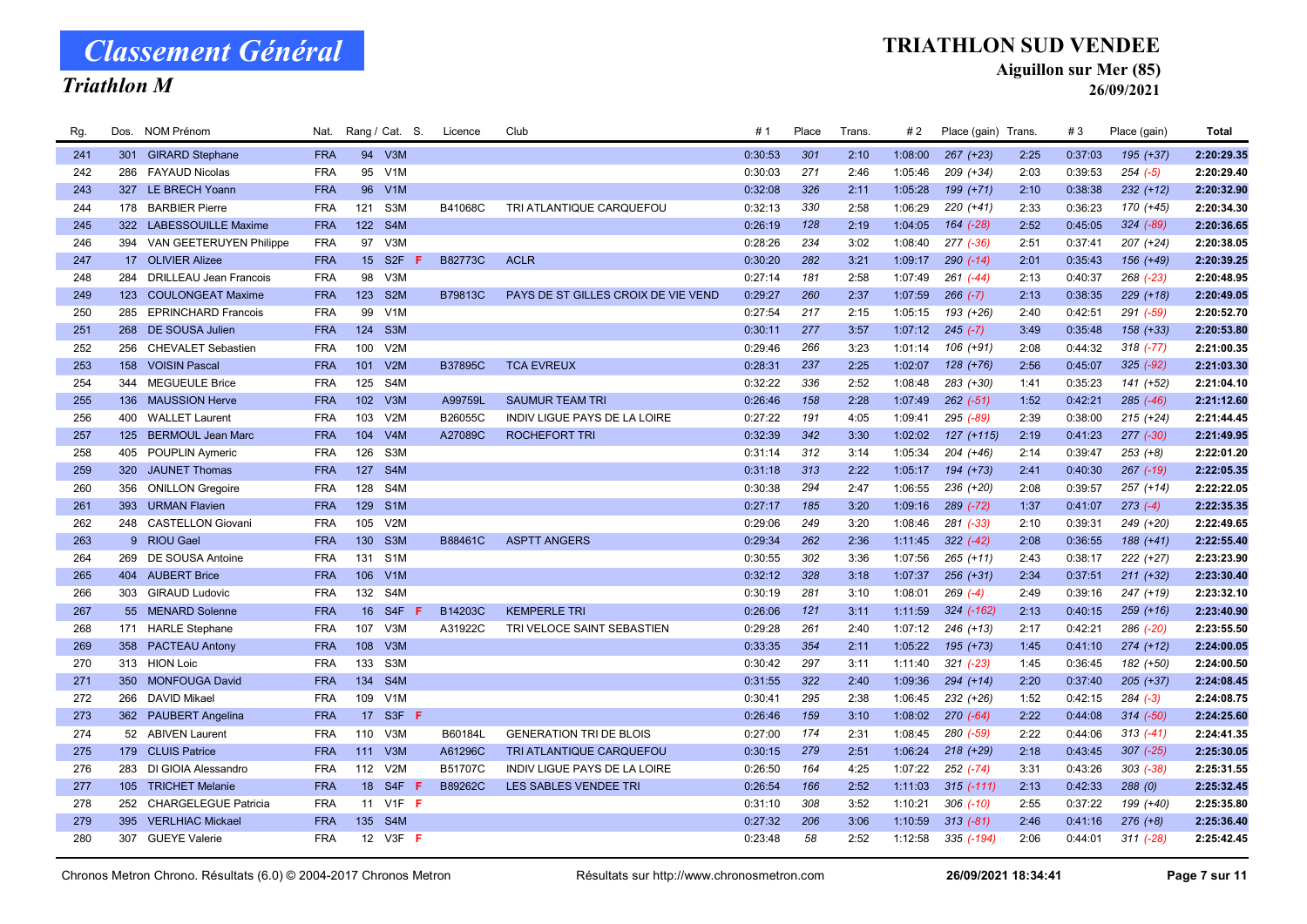### Triathlon M

#### TRIATHLON SUD VENDEE

Aiguillon sur Mer (85)

| Rg. | Dos. | NOM Prénom                    | Nat.       |                 | Rang / Cat. S.        | Licence        | Club                                | # 1     | Place | Trans. | #2      | Place (gain) Trans. |      | #3      | Place (gain)  | <b>Total</b> |
|-----|------|-------------------------------|------------|-----------------|-----------------------|----------------|-------------------------------------|---------|-------|--------|---------|---------------------|------|---------|---------------|--------------|
| 241 | 301  | <b>GIRARD Stephane</b>        | <b>FRA</b> | 94              | V3M                   |                |                                     | 0:30:53 | 301   | 2:10   | 1:08:00 | $267 (+23)$         | 2:25 | 0:37:03 | $195 (+37)$   | 2:20:29.35   |
| 242 | 286  | <b>FAYAUD Nicolas</b>         | <b>FRA</b> | 95              | V <sub>1</sub> M      |                |                                     | 0:30:03 | 271   | 2:46   | 1:05:46 | 209 (+34)           | 2:03 | 0:39:53 | $254 (-5)$    | 2:20:29.40   |
| 243 | 327  | <b>LE BRECH Yoann</b>         | <b>FRA</b> | 96              | V <sub>1</sub> M      |                |                                     | 0:32:08 | 326   | 2:11   | 1:05:28 | 199 (+71)           | 2:10 | 0:38:38 | $232 (+12)$   | 2:20:32.90   |
| 244 | 178  | <b>BARBIER Pierre</b>         | <b>FRA</b> | 121             | S <sub>3</sub> M      | B41068C        | TRI ATLANTIQUE CARQUEFOU            | 0:32:13 | 330   | 2:58   | 1:06:29 | $220 (+41)$         | 2:33 | 0:36:23 | 170 (+45)     | 2:20:34.30   |
| 245 | 322  | <b>LABESSOUILLE Maxime</b>    | <b>FRA</b> | 122             | S4M                   |                |                                     | 0:26:19 | 128   | 2:19   | 1:04:05 | 164 (-28)           | 2:52 | 0:45:05 | $324 (-89)$   | 2:20:36.65   |
| 246 |      | 394 VAN GEETERUYEN Philippe   | <b>FRA</b> | 97              | V3M                   |                |                                     | 0:28:26 | 234   | 3:02   | 1:08:40 | $277$ $(-36)$       | 2:51 | 0:37:41 | $207 (+24)$   | 2:20:38.05   |
| 247 |      | 17 OLIVIER Alizee             | <b>FRA</b> | 15 <sup>2</sup> | S <sub>2F</sub>       | <b>B82773C</b> | <b>ACLR</b>                         | 0:30:20 | 282   | 3:21   | 1:09:17 | $290 (-14)$         | 2:01 | 0:35:43 | 156 (+49)     | 2:20:39.25   |
| 248 | 284  | <b>DRILLEAU Jean Francois</b> | <b>FRA</b> | 98              | V3M                   |                |                                     | 0:27:14 | 181   | 2:58   | 1:07:49 | $261$ $(-44)$       | 2:13 | 0:40:37 | 268 (-23)     | 2:20:48.95   |
| 249 |      | 123 COULONGEAT Maxime         | <b>FRA</b> | 123             | S <sub>2</sub> M      | B79813C        | PAYS DE ST GILLES CROIX DE VIE VEND | 0:29:27 | 260   | 2:37   | 1:07:59 | $266 (-7)$          | 2:13 | 0:38:35 | $229 (+18)$   | 2:20:49.05   |
| 250 | 285  | <b>EPRINCHARD Francois</b>    | <b>FRA</b> | 99              | V <sub>1</sub> M      |                |                                     | 0:27:54 | 217   | 2:15   | 1:05:15 | 193 (+26)           | 2:40 | 0:42:51 | 291 (-59)     | 2:20:52.70   |
| 251 |      | 268 DE SOUSA Julien           | <b>FRA</b> | 124             | S <sub>3</sub> M      |                |                                     | 0:30:11 | 277   | 3:57   | 1:07:12 | $245 (-7)$          | 3:49 | 0:35:48 | $158 (+33)$   | 2:20:53.80   |
| 252 | 256  | <b>CHEVALET Sebastien</b>     | <b>FRA</b> | 100             | V2M                   |                |                                     | 0:29:46 | 266   | 3:23   | 1:01:14 | 106 (+91)           | 2:08 | 0:44:32 | $318 (-77)$   | 2:21:00.35   |
| 253 | 158  | <b>VOISIN Pascal</b>          | <b>FRA</b> | 101             | V2M                   | <b>B37895C</b> | <b>TCA EVREUX</b>                   | 0:28:31 | 237   | 2:25   | 1:02:07 | $128 (+76)$         | 2:56 | 0:45:07 | $325 (-92)$   | 2:21:03.30   |
| 254 | 344  | <b>MEGUEULE Brice</b>         | <b>FRA</b> | 125             | S <sub>4</sub> M      |                |                                     | 0:32:22 | 336   | 2:52   | 1:08:48 | 283 (+30)           | 1:41 | 0:35:23 | 141 (+52)     | 2:21:04.10   |
| 255 | 136  | <b>MAUSSION Herve</b>         | <b>FRA</b> | 102             | V3M                   | A99759L        | <b>SAUMUR TEAM TRI</b>              | 0:26:46 | 158   | 2:28   | 1:07:49 | $262 (-51)$         | 1:52 | 0:42:21 | $285$ $(-46)$ | 2:21:12.60   |
| 256 |      | 400 WALLET Laurent            | <b>FRA</b> | 103             | V2M                   | B26055C        | INDIV LIGUE PAYS DE LA LOIRE        | 0:27:22 | 191   | 4:05   | 1:09:41 | 295 (-89)           | 2:39 | 0:38:00 | $215 (+24)$   | 2:21:44.45   |
| 257 | 125  | <b>BERMOUL Jean Marc</b>      | <b>FRA</b> | 104             | V4M                   | A27089C        | <b>ROCHEFORT TRI</b>                | 0:32:39 | 342   | 3:30   | 1:02:02 | $127 (+115)$        | 2:19 | 0:41:23 | $277 (-30)$   | 2:21:49.95   |
| 258 | 405  | POUPLIN Aymeric               | <b>FRA</b> | 126             | S <sub>3</sub> M      |                |                                     | 0:31:14 | 312   | 3:14   | 1:05:34 | 204 (+46)           | 2:14 | 0:39:47 | $253 (+8)$    | 2:22:01.20   |
| 259 | 320  | <b>JAUNET Thomas</b>          | <b>FRA</b> |                 | 127 S4M               |                |                                     | 0:31:18 | 313   | 2:22   | 1:05:17 | 194 (+73)           | 2:41 | 0:40:30 | $267$ $(-19)$ | 2:22:05.35   |
| 260 | 356  | <b>ONILLON Gregoire</b>       | <b>FRA</b> | 128             | S4M                   |                |                                     | 0:30:38 | 294   | 2:47   | 1:06:55 | 236 (+20)           | 2:08 | 0:39:57 | $257 (+14)$   | 2:22:22.05   |
| 261 |      | 393 URMAN Flavien             | <b>FRA</b> | 129             | S <sub>1</sub> M      |                |                                     | 0:27:17 | 185   | 3:20   | 1:09:16 | $289$ (-72)         | 1:37 | 0:41:07 | $273(-4)$     | 2:22:35.35   |
| 262 |      | 248 CASTELLON Giovani         | <b>FRA</b> | 105             | V2M                   |                |                                     | 0:29:06 | 249   | 3:20   | 1:08:46 | $281$ $(-33)$       | 2:10 | 0:39:31 | 249 (+20)     | 2:22:49.65   |
| 263 |      | 9 RIOU Gael                   | <b>FRA</b> | 130             | S <sub>3</sub> M      | B88461C        | <b>ASPTT ANGERS</b>                 | 0:29:34 | 262   | 2:36   | 1:11:45 | $322 (-42)$         | 2:08 | 0:36:55 | 188 (+41)     | 2:22:55.40   |
| 264 | 269  | DE SOUSA Antoine              | <b>FRA</b> | 131             | S <sub>1</sub> M      |                |                                     | 0:30:55 | 302   | 3:36   | 1:07:56 | $265 (+11)$         | 2:43 | 0:38:17 | 222 (+27)     | 2:23:23.90   |
| 265 | 404  | <b>AUBERT Brice</b>           | <b>FRA</b> | 106             | V1M                   |                |                                     | 0:32:12 | 328   | 3:18   | 1:07:37 | $256 (+31)$         | 2:34 | 0:37:51 | $211 (+32)$   | 2:23:30.40   |
| 266 |      | 303 GIRAUD Ludovic            | <b>FRA</b> |                 | 132 S4M               |                |                                     | 0:30:19 | 281   | 3:10   | 1:08:01 | $269$ $(-4)$        | 2:49 | 0:39:16 | 247 (+19)     | 2:23:32.10   |
| 267 |      | 55 MENARD Solenne             | <b>FRA</b> | 16              | S <sub>4F</sub>       | B14203C        | <b>KEMPERLE TRI</b>                 | 0:26:06 | 121   | 3:11   | 1:11:59 | 324 (-162)          | 2:13 | 0:40:15 | $259 (+16)$   | 2:23:40.90   |
| 268 | 171  | <b>HARLE Stephane</b>         | <b>FRA</b> | 107             | V3M                   | A31922C        | TRI VELOCE SAINT SEBASTIEN          | 0:29:28 | 261   | 2:40   | 1:07:12 | $246 (+13)$         | 2:17 | 0:42:21 | 286 (-20)     | 2:23:55.50   |
| 269 |      | 358 PACTEAU Antony            | <b>FRA</b> | 108             | V3M                   |                |                                     | 0:33:35 | 354   | 2:11   | 1:05:22 | $195 (+73)$         | 1:45 | 0:41:10 | $274 (+12)$   | 2:24:00.05   |
| 270 |      | 313 HION Loic                 | <b>FRA</b> | 133             | S3M                   |                |                                     | 0:30:42 | 297   | 3:11   | 1:11:40 | $321 (-23)$         | 1:45 | 0:36:45 | 182 (+50)     | 2:24:00.50   |
| 271 |      | 350 MONFOUGA David            | <b>FRA</b> | 134             | S4M                   |                |                                     | 0:31:55 | 322   | 2:40   | 1:09:36 | $294 (+14)$         | 2:20 | 0:37:40 | $205 (+37)$   | 2:24:08.45   |
| 272 | 266  | <b>DAVID Mikael</b>           | <b>FRA</b> | 109             | V1M                   |                |                                     | 0:30:41 | 295   | 2:38   | 1:06:45 | $232 (+26)$         | 1:52 | 0:42:15 | $284 (-3)$    | 2:24:08.75   |
| 273 |      | 362 PAUBERT Angelina          | <b>FRA</b> | 17              | S3F F                 |                |                                     | 0:26:46 | 159   | 3:10   | 1:08:02 | $270(-64)$          | 2:22 | 0:44:08 | $314 (-50)$   | 2:24:25.60   |
| 274 |      | 52 ABIVEN Laurent             | <b>FRA</b> | 110             | V3M                   | B60184L        | <b>GENERATION TRI DE BLOIS</b>      | 0:27:00 | 174   | 2:31   | 1:08:45 | 280 (-59)           | 2:22 | 0:44:06 | $313(-41)$    | 2:24:41.35   |
| 275 |      | 179 CLUIS Patrice             | <b>FRA</b> | 111             | V3M                   | A61296C        | TRI ATLANTIQUE CARQUEFOU            | 0:30:15 | 279   | 2:51   | 1:06:24 | $218 (+29)$         | 2:18 | 0:43:45 | $307$ $(-25)$ | 2:25:30.05   |
| 276 |      | 283 DI GIOIA Alessandro       | <b>FRA</b> | 112             | V2M                   | B51707C        | INDIV LIGUE PAYS DE LA LOIRE        | 0:26:50 | 164   | 4:25   | 1:07:22 | $252$ $(-74)$       | 3:31 | 0:43:26 | $303$ $(-38)$ | 2:25:31.55   |
| 277 | 105  | <b>TRICHET Melanie</b>        | <b>FRA</b> | 18              | S <sub>4F</sub><br>-F | B89262C        | LES SABLES VENDEE TRI               | 0:26:54 | 166   | 2:52   | 1:11:03 | $315$ $(-111)$      | 2:13 | 0:42:33 | 288(0)        | 2:25:32.45   |
| 278 | 252  | <b>CHARGELEGUE Patricia</b>   | <b>FRA</b> | 11              | $V1F$ F               |                |                                     | 0:31:10 | 308   | 3:52   | 1:10:21 | $306$ $(-10)$       | 2:55 | 0:37:22 | 199 (+40)     | 2:25:35.80   |
| 279 | 395  | <b>VERLHIAC Mickael</b>       | <b>FRA</b> |                 | 135 S4M               |                |                                     | 0:27:32 | 206   | 3:06   | 1:10:59 | $313(-81)$          | 2:46 | 0:41:16 | $276 (+8)$    | 2:25:36.40   |
| 280 |      | 307 GUEYE Valerie             | <b>FRA</b> |                 | 12 V3F <b>F</b>       |                |                                     | 0:23:48 | 58    | 2:52   | 1:12:58 | 335 (-194)          | 2:06 | 0:44:01 | $311 (-28)$   | 2:25:42.45   |
|     |      |                               |            |                 |                       |                |                                     |         |       |        |         |                     |      |         |               |              |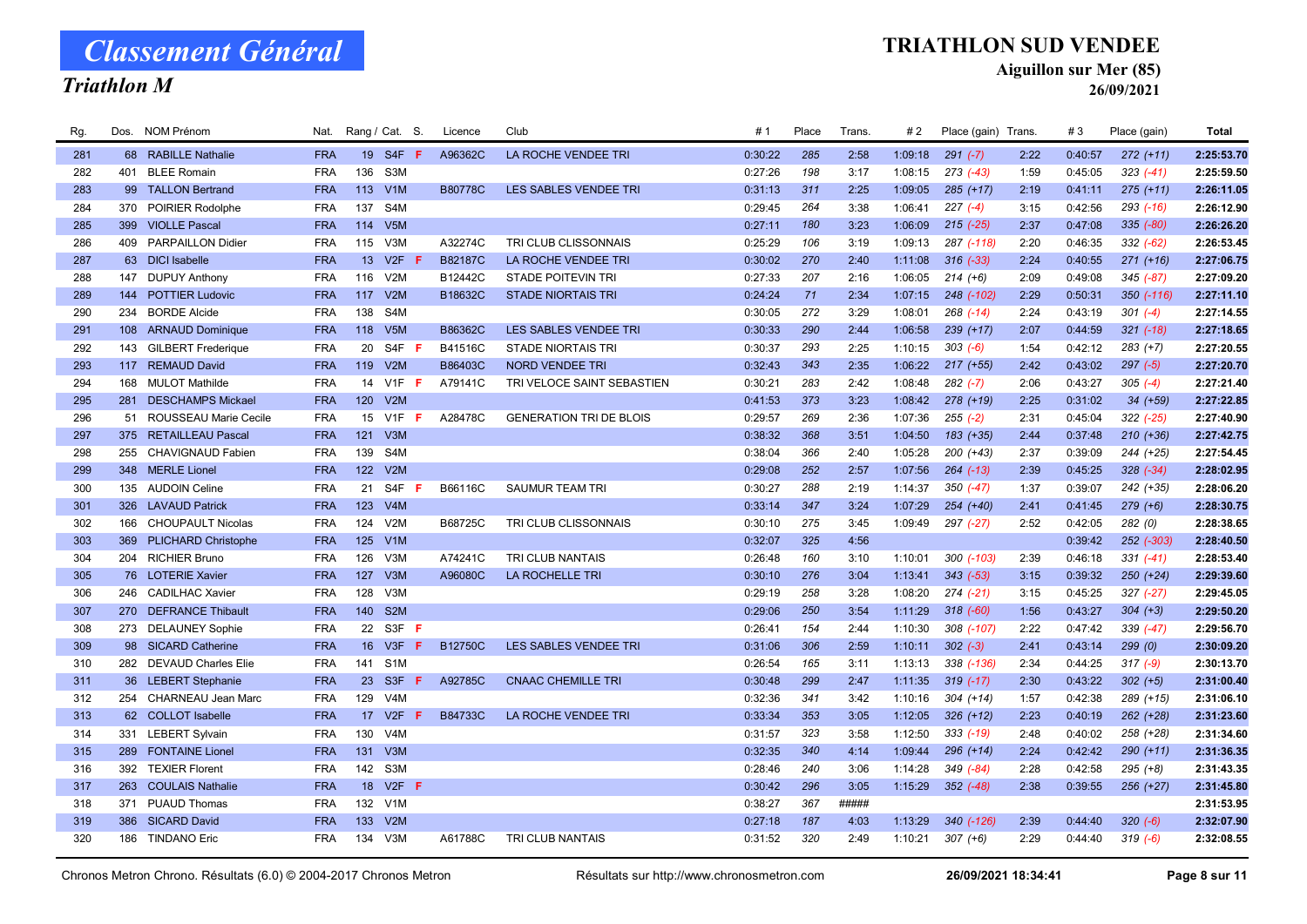### Triathlon M

#### TRIATHLON SUD VENDEE

Aiguillon sur Mer (85)

| Rg. |     | Dos. NOM Prénom           | Nat.       |                 | Rang / Cat. S.   | Licence        | Club                           | # 1     | Place | Trans. | #2      | Place (gain) Trans. |      | #3      | Place (gain)  | <b>Total</b> |
|-----|-----|---------------------------|------------|-----------------|------------------|----------------|--------------------------------|---------|-------|--------|---------|---------------------|------|---------|---------------|--------------|
| 281 |     | 68 RABILLE Nathalie       | <b>FRA</b> |                 | 19 S4F F         | A96362C        | LA ROCHE VENDEE TRI            | 0:30:22 | 285   | 2:58   | 1:09:18 | $291 (-7)$          | 2:22 | 0:40:57 | $272 (+11)$   | 2:25:53.70   |
| 282 | 401 | <b>BLEE Romain</b>        | <b>FRA</b> | 136             | S3M              |                |                                | 0:27:26 | 198   | 3:17   | 1:08:15 | $273$ $(-43)$       | 1:59 | 0:45:05 | $323(-41)$    | 2:25:59.50   |
| 283 |     | 99 TALLON Bertrand        | <b>FRA</b> | 113             | V1M              | <b>B80778C</b> | <b>LES SABLES VENDEE TRI</b>   | 0:31:13 | 311   | 2:25   | 1:09:05 | $285 (+17)$         | 2:19 | 0:41:11 | $275 (+11)$   | 2:26:11.05   |
| 284 |     | 370 POIRIER Rodolphe      | <b>FRA</b> | 137             | S <sub>4</sub> M |                |                                | 0:29:45 | 264   | 3:38   | 1:06:41 | $227(-4)$           | 3:15 | 0:42:56 | $293$ $(-16)$ | 2:26:12.90   |
| 285 | 399 | <b>VIOLLE Pascal</b>      | <b>FRA</b> | 114             | V5M              |                |                                | 0:27:11 | 180   | 3:23   | 1:06:09 | $215$ $(-25)$       | 2:37 | 0:47:08 | 335 (-80)     | 2:26:26.20   |
| 286 |     | 409 PARPAILLON Didier     | <b>FRA</b> | 115             | V3M              | A32274C        | TRI CLUB CLISSONNAIS           | 0:25:29 | 106   | 3:19   | 1:09:13 | 287 (-118)          | 2:20 | 0:46:35 | $332 (-62)$   | 2:26:53.45   |
| 287 |     | 63 DICI Isabelle          | <b>FRA</b> | 13              | V2F<br>-F        | <b>B82187C</b> | LA ROCHE VENDEE TRI            | 0:30:02 | 270   | 2:40   | 1:11:08 | $316$ $(-33)$       | 2:24 | 0:40:55 | $271 (+16)$   | 2:27:06.75   |
| 288 | 147 | <b>DUPUY Anthony</b>      | <b>FRA</b> | 116             | V2M              | B12442C        | <b>STADE POITEVIN TRI</b>      | 0:27:33 | 207   | 2:16   | 1:06:05 | $214 (+6)$          | 2:09 | 0:49:08 | $345 (-87)$   | 2:27:09.20   |
| 289 |     | 144 POTTIER Ludovic       | <b>FRA</b> | 117             | V2M              | B18632C        | <b>STADE NIORTAIS TRI</b>      | 0:24:24 | 71    | 2:34   | 1:07:15 | 248 (-102)          | 2:29 | 0:50:31 | 350 (-116)    | 2:27:11.10   |
| 290 |     | 234 BORDE Alcide          | <b>FRA</b> | 138             | S <sub>4</sub> M |                |                                | 0:30:05 | 272   | 3:29   | 1:08:01 | $268$ $(-14)$       | 2:24 | 0:43:19 | $301 (-4)$    | 2:27:14.55   |
| 291 |     | 108 ARNAUD Dominique      | <b>FRA</b> | 118             | V <sub>5</sub> M | B86362C        | LES SABLES VENDEE TRI          | 0:30:33 | 290   | 2:44   | 1:06:58 | $239 (+17)$         | 2:07 | 0:44:59 | $321$ $(-18)$ | 2:27:18.65   |
| 292 | 143 | <b>GILBERT Frederique</b> | <b>FRA</b> | 20              | S4F F            | B41516C        | <b>STADE NIORTAIS TRI</b>      | 0:30:37 | 293   | 2:25   | 1:10:15 | $303 (-6)$          | 1:54 | 0:42:12 | $283 (+7)$    | 2:27:20.55   |
| 293 |     | 117 REMAUD David          | <b>FRA</b> | 119             | V2M              | B86403C        | <b>NORD VENDEE TRI</b>         | 0:32:43 | 343   | 2:35   | 1:06:22 | $217 (+55)$         | 2:42 | 0:43:02 | $297 (-5)$    | 2:27:20.70   |
| 294 | 168 | <b>MULOT Mathilde</b>     | <b>FRA</b> | 14              | $V1F$ F          | A79141C        | TRI VELOCE SAINT SEBASTIEN     | 0:30:21 | 283   | 2:42   | 1:08:48 | $282$ $(-7)$        | 2:06 | 0:43:27 | $305 (-4)$    | 2:27:21.40   |
| 295 | 281 | <b>DESCHAMPS Mickael</b>  | <b>FRA</b> | 120             | V2M              |                |                                | 0:41:53 | 373   | 3:23   | 1:08:42 | $278 (+19)$         | 2:25 | 0:31:02 | $34 (+59)$    | 2:27:22.85   |
| 296 |     | 51 ROUSSEAU Marie Cecile  | <b>FRA</b> | 15              | V1F<br>F         | A28478C        | <b>GENERATION TRI DE BLOIS</b> | 0:29:57 | 269   | 2:36   | 1:07:36 | $255 (-2)$          | 2:31 | 0:45:04 | $322 (-25)$   | 2:27:40.90   |
| 297 | 375 | <b>RETAILLEAU Pascal</b>  | <b>FRA</b> | 121             | V3M              |                |                                | 0:38:32 | 368   | 3:51   | 1:04:50 | 183 (+35)           | 2:44 | 0:37:48 | $210 (+36)$   | 2:27:42.75   |
| 298 | 255 | CHAVIGNAUD Fabien         | <b>FRA</b> | 139             | S4M              |                |                                | 0:38:04 | 366   | 2:40   | 1:05:28 | $200 (+43)$         | 2:37 | 0:39:09 | 244 (+25)     | 2:27:54.45   |
| 299 |     | 348 MERLE Lionel          | <b>FRA</b> |                 | 122 V2M          |                |                                | 0:29:08 | 252   | 2:57   | 1:07:56 | $264$ $(-13)$       | 2:39 | 0:45:25 | $328 (-34)$   | 2:28:02.95   |
| 300 |     | 135 AUDOIN Celine         | <b>FRA</b> | 21              | S4F              | B66116C        | <b>SAUMUR TEAM TRI</b>         | 0:30:27 | 288   | 2:19   | 1:14:37 | $350(-47)$          | 1:37 | 0:39:07 | 242 (+35)     | 2:28:06.20   |
| 301 |     | 326 LAVAUD Patrick        | <b>FRA</b> | 123             | V4M              |                |                                | 0:33:14 | 347   | 3:24   | 1:07:29 | 254 (+40)           | 2:41 | 0:41:45 | $279 (+6)$    | 2:28:30.75   |
| 302 | 166 | <b>CHOUPAULT Nicolas</b>  | <b>FRA</b> | 124             | V2M              | B68725C        | TRI CLUB CLISSONNAIS           | 0:30:10 | 275   | 3:45   | 1:09:49 | 297 (-27)           | 2:52 | 0:42:05 | 282(0)        | 2:28:38.65   |
| 303 |     | 369 PLICHARD Christophe   | <b>FRA</b> | 125             | V1M              |                |                                | 0:32:07 | 325   | 4:56   |         |                     |      | 0:39:42 | 252 (-303)    | 2:28:40.50   |
| 304 |     | 204 RICHIER Bruno         | <b>FRA</b> | 126             | V3M              | A74241C        | <b>TRI CLUB NANTAIS</b>        | 0:26:48 | 160   | 3:10   | 1:10:01 | 300 (-103)          | 2:39 | 0:46:18 | $331 (-41)$   | 2:28:53.40   |
| 305 |     | 76 LOTERIE Xavier         | <b>FRA</b> | 127             | V3M              | A96080C        | <b>LA ROCHELLE TRI</b>         | 0:30:10 | 276   | 3:04   | 1:13:41 | $343 (-53)$         | 3:15 | 0:39:32 | $250 (+24)$   | 2:29:39.60   |
| 306 |     | 246 CADILHAC Xavier       | <b>FRA</b> | 128             | V3M              |                |                                | 0:29:19 | 258   | 3:28   | 1:08:20 | $274$ $(-21)$       | 3:15 | 0:45:25 | $327 (-27)$   | 2:29:45.05   |
| 307 | 270 | <b>DEFRANCE Thibault</b>  | <b>FRA</b> | 140             | S <sub>2</sub> M |                |                                | 0:29:06 | 250   | 3:54   | 1:11:29 | $318$ $(-60)$       | 1:56 | 0:43:27 | $304 (+3)$    | 2:29:50.20   |
| 308 |     | 273 DELAUNEY Sophie       | <b>FRA</b> |                 | 22 S3F F         |                |                                | 0:26:41 | 154   | 2:44   | 1:10:30 | 308 (-107)          | 2:22 | 0:47:42 | 339 (-47)     | 2:29:56.70   |
| 309 |     | 98 SICARD Catherine       | <b>FRA</b> | 16              | V3F<br>F         | B12750C        | <b>LES SABLES VENDEE TRI</b>   | 0:31:06 | 306   | 2:59   | 1:10:11 | $302 (-3)$          | 2:41 | 0:43:14 | 299(0)        | 2:30:09.20   |
| 310 |     | 282 DEVAUD Charles Elie   | <b>FRA</b> | 141             | S <sub>1</sub> M |                |                                | 0:26:54 | 165   | 3:11   | 1:13:13 | 338 (-136)          | 2:34 | 0:44:25 | $317 (-9)$    | 2:30:13.70   |
| 311 |     | 36 LEBERT Stephanie       | <b>FRA</b> |                 | 23 S3F F         | A92785C        | <b>CNAAC CHEMILLE TRI</b>      | 0:30:48 | 299   | 2:47   | 1:11:35 | $319(-17)$          | 2:30 | 0:43:22 | $302 (+5)$    | 2:31:00.40   |
| 312 |     | 254 CHARNEAU Jean Marc    | <b>FRA</b> | 129             | V <sub>4</sub> M |                |                                | 0:32:36 | 341   | 3:42   | 1:10:16 | $304 (+14)$         | 1:57 | 0:42:38 | 289 (+15)     | 2:31:06.10   |
| 313 |     | 62 COLLOT Isabelle        | <b>FRA</b> | 17 <sup>2</sup> | V2F<br>F         | <b>B84733C</b> | LA ROCHE VENDEE TRI            | 0:33:34 | 353   | 3:05   | 1:12:05 | $326 (+12)$         | 2:23 | 0:40:19 | $262 (+28)$   | 2:31:23.60   |
| 314 | 331 | <b>LEBERT Sylvain</b>     | <b>FRA</b> | 130             | V4M              |                |                                | 0:31:57 | 323   | 3:58   | 1:12:50 | $333( -19)$         | 2:48 | 0:40:02 | 258 (+28)     | 2:31:34.60   |
| 315 | 289 | <b>FONTAINE Lionel</b>    | <b>FRA</b> | 131             | V3M              |                |                                | 0:32:35 | 340   | 4:14   | 1:09:44 | $296 (+14)$         | 2:24 | 0:42:42 | $290 (+11)$   | 2:31:36.35   |
| 316 |     | 392 TEXIER Florent        | <b>FRA</b> | 142             | S3M              |                |                                | 0:28:46 | 240   | 3:06   | 1:14:28 | 349 (-84)           | 2:28 | 0:42:58 | $295 (+8)$    | 2:31:43.35   |
| 317 | 263 | <b>COULAIS Nathalie</b>   | <b>FRA</b> | 18              | $V2F$ F          |                |                                | 0:30:42 | 296   | 3:05   | 1:15:29 | $352$ (-48)         | 2:38 | 0:39:55 | $256 (+27)$   | 2:31:45.80   |
| 318 | 371 | <b>PUAUD Thomas</b>       | <b>FRA</b> |                 | 132 V1M          |                |                                | 0:38:27 | 367   | #####  |         |                     |      |         |               | 2:31:53.95   |
| 319 | 386 | <b>SICARD David</b>       | <b>FRA</b> | 133             | V2M              |                |                                | 0:27:18 | 187   | 4:03   | 1:13:29 | 340 (-126)          | 2:39 | 0:44:40 | $320 (-6)$    | 2:32:07.90   |
| 320 |     | 186 TINDANO Eric          | <b>FRA</b> | 134             | V <sub>3</sub> M | A61788C        | TRI CLUB NANTAIS               | 0:31:52 | 320   | 2:49   | 1:10:21 | $307 (+6)$          | 2:29 | 0:44:40 | $319(-6)$     | 2:32:08.55   |
|     |     |                           |            |                 |                  |                |                                |         |       |        |         |                     |      |         |               |              |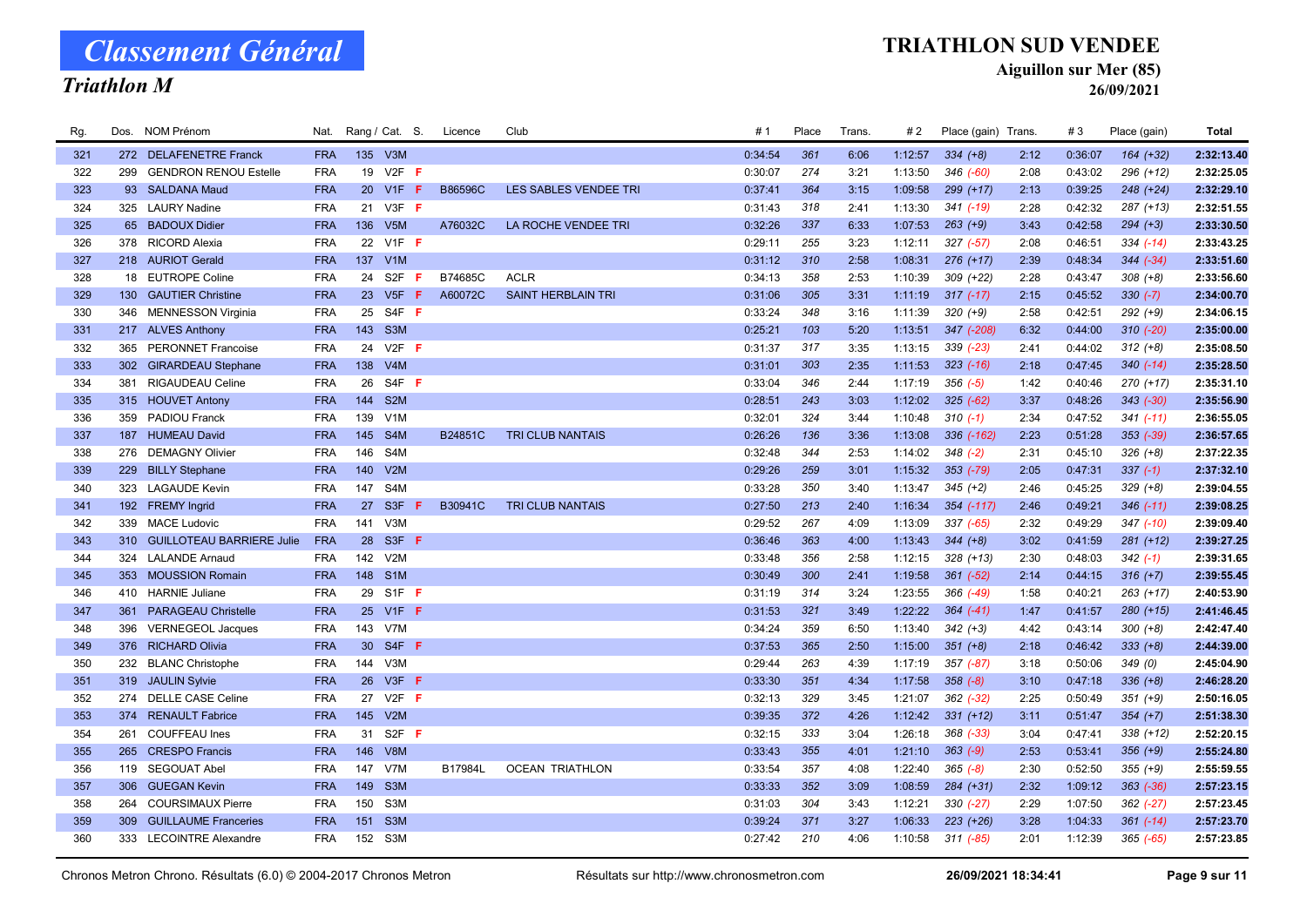### Triathlon M

#### TRIATHLON SUD VENDEE

Aiguillon sur Mer (85)

26/09/2021

| Rg. |     | Dos. NOM Prénom               | Nat.       | Rang / Cat. S.  |                   |    | Licence | Club                      | # 1     | Place | Trans. | #2      | Place (gain) Trans. |      | #3      | Place (gain)  | <b>Total</b> |
|-----|-----|-------------------------------|------------|-----------------|-------------------|----|---------|---------------------------|---------|-------|--------|---------|---------------------|------|---------|---------------|--------------|
| 321 |     | 272 DELAFENETRE Franck        | <b>FRA</b> |                 | 135 V3M           |    |         |                           | 0:34:54 | 361   | 6:06   | 1:12:57 | $334 (+8)$          | 2:12 | 0:36:07 | $164 (+32)$   | 2:32:13.40   |
| 322 | 299 | <b>GENDRON RENOU Estelle</b>  | <b>FRA</b> | 19              | $V2F$ F           |    |         |                           | 0:30:07 | 274   | 3:21   | 1:13:50 | 346 (-60)           | 2:08 | 0:43:02 | $296 (+12)$   | 2:32:25.05   |
| 323 |     | 93 SALDANA Maud               | <b>FRA</b> | 20 <sup>2</sup> | V1F               | -F | B86596C | LES SABLES VENDEE TRI     | 0:37:41 | 364   | 3:15   | 1:09:58 | 299 (+17)           | 2:13 | 0:39:25 | $248 (+24)$   | 2:32:29.10   |
| 324 |     | 325 LAURY Nadine              | <b>FRA</b> |                 | 21 V3F F          |    |         |                           | 0:31:43 | 318   | 2:41   | 1:13:30 | $341$ (-19)         | 2:28 | 0:42:32 | 287 (+13)     | 2:32:51.55   |
| 325 | 65  | <b>BADOUX Didier</b>          | <b>FRA</b> | 136             | V <sub>5</sub> M  |    | A76032C | LA ROCHE VENDEE TRI       | 0:32:26 | 337   | 6:33   | 1:07:53 | $263 (+9)$          | 3:43 | 0:42:58 | $294 (+3)$    | 2:33:30.50   |
| 326 |     | 378 RICORD Alexia             | <b>FRA</b> |                 | 22 V1F F          |    |         |                           | 0:29:11 | 255   | 3:23   | 1:12:11 | $327 (-57)$         | 2:08 | 0:46:51 | $334 (-14)$   | 2:33:43.25   |
| 327 |     | 218 AURIOT Gerald             | <b>FRA</b> |                 | 137 V1M           |    |         |                           | 0:31:12 | 310   | 2:58   | 1:08:31 | $276 (+17)$         | 2:39 | 0:48:34 | $344 (-34)$   | 2:33:51.60   |
| 328 |     | 18 EUTROPE Coline             | <b>FRA</b> | 24              | S <sub>2F</sub>   | -F | B74685C | <b>ACLR</b>               | 0:34:13 | 358   | 2:53   | 1:10:39 | $309 (+22)$         | 2:28 | 0:43:47 | $308 (+8)$    | 2:33:56.60   |
| 329 |     | 130 GAUTIER Christine         | <b>FRA</b> |                 | 23 V5F F          |    | A60072C | <b>SAINT HERBLAIN TRI</b> | 0:31:06 | 305   | 3:31   | 1:11:19 | $317(-17)$          | 2:15 | 0:45:52 | $330 (-7)$    | 2:34:00.70   |
| 330 |     | 346 MENNESSON Virginia        | <b>FRA</b> | 25              | S4F F             |    |         |                           | 0:33:24 | 348   | 3:16   | 1:11:39 | $320 (+9)$          | 2:58 | 0:42:51 | $292 (+9)$    | 2:34:06.15   |
| 331 |     | 217 ALVES Anthony             | <b>FRA</b> |                 | 143 S3M           |    |         |                           | 0:25:21 | 103   | 5:20   | 1:13:51 | 347 (-208)          | 6:32 | 0:44:00 | $310 (-20)$   | 2:35:00.00   |
| 332 |     | 365 PERONNET Francoise        | <b>FRA</b> | 24              | $V2F$ F           |    |         |                           | 0:31:37 | 317   | 3:35   | 1:13:15 | $339$ $(-23)$       | 2:41 | 0:44:02 | $312 (+8)$    | 2:35:08.50   |
| 333 |     | 302 GIRARDEAU Stephane        | <b>FRA</b> | 138             | V4M               |    |         |                           | 0:31:01 | 303   | 2:35   | 1:11:53 | $323$ $(-16)$       | 2:18 | 0:47:45 | $340 (-14)$   | 2:35:28.50   |
| 334 | 381 | RIGAUDEAU Celine              | <b>FRA</b> | 26              | S4F F             |    |         |                           | 0:33:04 | 346   | 2:44   | 1:17:19 | $356$ $(-5)$        | 1:42 | 0:40:46 | 270 (+17)     | 2:35:31.10   |
| 335 |     | 315 HOUVET Antony             | <b>FRA</b> | 144             | S <sub>2</sub> M  |    |         |                           | 0:28:51 | 243   | 3:03   | 1:12:02 | $325 (-62)$         | 3:37 | 0:48:26 | $343$ $(-30)$ | 2:35:56.90   |
| 336 |     | 359 PADIOU Franck             | <b>FRA</b> | 139             | V1M               |    |         |                           | 0:32:01 | 324   | 3:44   | 1:10:48 | $310(-1)$           | 2:34 | 0:47:52 | $341 (-11)$   | 2:36:55.05   |
| 337 |     | 187 HUMEAU David              | <b>FRA</b> | 145             | S4M               |    | B24851C | <b>TRI CLUB NANTAIS</b>   | 0:26:26 | 136   | 3:36   | 1:13:08 | 336 (-162)          | 2:23 | 0:51:28 | $353 (-39)$   | 2:36:57.65   |
| 338 |     | 276 DEMAGNY Olivier           | <b>FRA</b> | 146             | S <sub>4</sub> M  |    |         |                           | 0:32:48 | 344   | 2:53   | 1:14:02 | $348$ $(-2)$        | 2:31 | 0:45:10 | $326 (+8)$    | 2:37:22.35   |
| 339 |     | 229 BILLY Stephane            | <b>FRA</b> |                 | 140 V2M           |    |         |                           | 0:29:26 | 259   | 3:01   | 1:15:32 | 353 (-79)           | 2:05 | 0:47:31 | $337(-1)$     | 2:37:32.10   |
| 340 |     | 323 LAGAUDE Kevin             | <b>FRA</b> | 147             | S4M               |    |         |                           | 0:33:28 | 350   | 3:40   | 1:13:47 | $345 (+2)$          | 2:46 | 0:45:25 | $329 (+8)$    | 2:39:04.55   |
| 341 |     | 192 FREMY Ingrid              | <b>FRA</b> | 27              | S <sub>3F</sub>   | F  | B30941C | <b>TRI CLUB NANTAIS</b>   | 0:27:50 | 213   | 2:40   | 1:16:34 | 354 (-117)          | 2:46 | 0:49:21 | $346$ $(-11)$ | 2:39:08.25   |
| 342 |     | 339 MACE Ludovic              | <b>FRA</b> | 141             | V <sub>3</sub> M  |    |         |                           | 0:29:52 | 267   | 4:09   | 1:13:09 | $337 (-65)$         | 2:32 | 0:49:29 | $347$ $(-10)$ | 2:39:09.40   |
| 343 |     | 310 GUILLOTEAU BARRIERE Julie | <b>FRA</b> | 28              | S3F F             |    |         |                           | 0:36:46 | 363   | 4:00   | 1:13:43 | $344 (+8)$          | 3:02 | 0:41:59 | $281 (+12)$   | 2:39:27.25   |
| 344 |     | 324 LALANDE Arnaud            | <b>FRA</b> | 142             | V2M               |    |         |                           | 0:33:48 | 356   | 2:58   | 1:12:15 | $328 (+13)$         | 2:30 | 0:48:03 | $342(-1)$     | 2:39:31.65   |
| 345 | 353 | <b>MOUSSION Romain</b>        | <b>FRA</b> |                 | 148 S1M           |    |         |                           | 0:30:49 | 300   | 2:41   | 1:19:58 | $361 (-52)$         | 2:14 | 0:44:15 | $316 (+7)$    | 2:39:55.45   |
| 346 |     | 410 HARNIE Juliane            | <b>FRA</b> |                 | 29 S1F F          |    |         |                           | 0:31:19 | 314   | 3:24   | 1:23:55 | 366 (-49)           | 1:58 | 0:40:21 | $263 (+17)$   | 2:40:53.90   |
| 347 |     | 361 PARAGEAU Christelle       | <b>FRA</b> |                 | 25 V1F F          |    |         |                           | 0:31:53 | 321   | 3:49   | 1:22:22 | $364 (-41)$         | 1:47 | 0:41:57 | $280 (+15)$   | 2:41:46.45   |
| 348 | 396 | <b>VERNEGEOL Jacques</b>      | <b>FRA</b> |                 | 143 V7M           |    |         |                           | 0:34:24 | 359   | 6:50   | 1:13:40 | $342 (+3)$          | 4:42 | 0:43:14 | $300 (+8)$    | 2:42:47.40   |
| 349 |     | 376 RICHARD Olivia            | <b>FRA</b> |                 | 30 S4F F          |    |         |                           | 0:37:53 | 365   | 2:50   | 1:15:00 | $351 (+8)$          | 2:18 | 0:46:42 | $333 (+8)$    | 2:44:39.00   |
| 350 |     | 232 BLANC Christophe          | <b>FRA</b> |                 | 144 V3M           |    |         |                           | 0:29:44 | 263   | 4:39   | 1:17:19 | 357 (-87)           | 3:18 | 0:50:06 | 349(0)        | 2:45:04.90   |
| 351 |     | 319 JAULIN Sylvie             | <b>FRA</b> | 26              | $V3F$ F           |    |         |                           | 0:33:30 | 351   | 4:34   | 1:17:58 | $358 (-8)$          | 3:10 | 0:47:18 | $336 (+8)$    | 2:46:28.20   |
| 352 |     | 274 DELLE CASE Celine         | <b>FRA</b> | 27              | $V2F$ F           |    |         |                           | 0:32:13 | 329   | 3:45   | 1:21:07 | $362$ $(-32)$       | 2:25 | 0:50:49 | $351 (+9)$    | 2:50:16.05   |
| 353 |     | 374 RENAULT Fabrice           | <b>FRA</b> |                 | 145 V2M           |    |         |                           | 0:39:35 | 372   | 4:26   | 1:12:42 | $331 (+12)$         | 3:11 | 0:51:47 | $354 (+7)$    | 2:51:38.30   |
| 354 | 261 | COUFFEAU Ines                 | <b>FRA</b> | 31              | S <sub>2F</sub> F |    |         |                           | 0:32:15 | 333   | 3:04   | 1:26:18 | 368 (-33)           | 3:04 | 0:47:41 | $338 (+12)$   | 2:52:20.15   |
| 355 | 265 | <b>CRESPO</b> Francis         | <b>FRA</b> | 146             | V8M               |    |         |                           | 0:33:43 | 355   | 4:01   | 1:21:10 | $363 (-9)$          | 2:53 | 0:53:41 | $356 (+9)$    | 2:55:24.80   |
| 356 |     | 119 SEGOUAT Abel              | <b>FRA</b> | 147             | V7M               |    | B17984L | <b>OCEAN TRIATHLON</b>    | 0:33:54 | 357   | 4:08   | 1:22:40 | $365 (-8)$          | 2:30 | 0:52:50 | $355 (+9)$    | 2:55:59.55   |
| 357 | 306 | <b>GUEGAN Kevin</b>           | <b>FRA</b> | 149             | S <sub>3</sub> M  |    |         |                           | 0:33:33 | 352   | 3:09   | 1:08:59 | 284 (+31)           | 2:32 | 1:09:12 | $363 (-36)$   | 2:57:23.15   |
| 358 | 264 | <b>COURSIMAUX Pierre</b>      | <b>FRA</b> | 150             | S <sub>3</sub> M  |    |         |                           | 0:31:03 | 304   | 3:43   | 1:12:21 | $330 (-27)$         | 2:29 | 1:07:50 | $362 (-27)$   | 2:57:23.45   |
| 359 | 309 | <b>GUILLAUME Franceries</b>   | <b>FRA</b> | 151             | S <sub>3</sub> M  |    |         |                           | 0:39:24 | 371   | 3:27   | 1:06:33 | $223 (+26)$         | 3:28 | 1:04:33 | $361 (-14)$   | 2:57:23.70   |
| 360 |     | 333 LECOINTRE Alexandre       | FRA        |                 | 152 S3M           |    |         |                           | 0:27:42 | 210   | 4:06   | 1:10:58 | $311 (-85)$         | 2:01 | 1:12:39 | $365 (-65)$   | 2:57:23.85   |
|     |     |                               |            |                 |                   |    |         |                           |         |       |        |         |                     |      |         |               |              |

Chronos Metron Chrono. Résultats (6.0) © 2004-2017 Chronos Metron **Résultats sur http://www.chronosmetron.com** 26/09/2021 18:34:41 Page 9 sur 11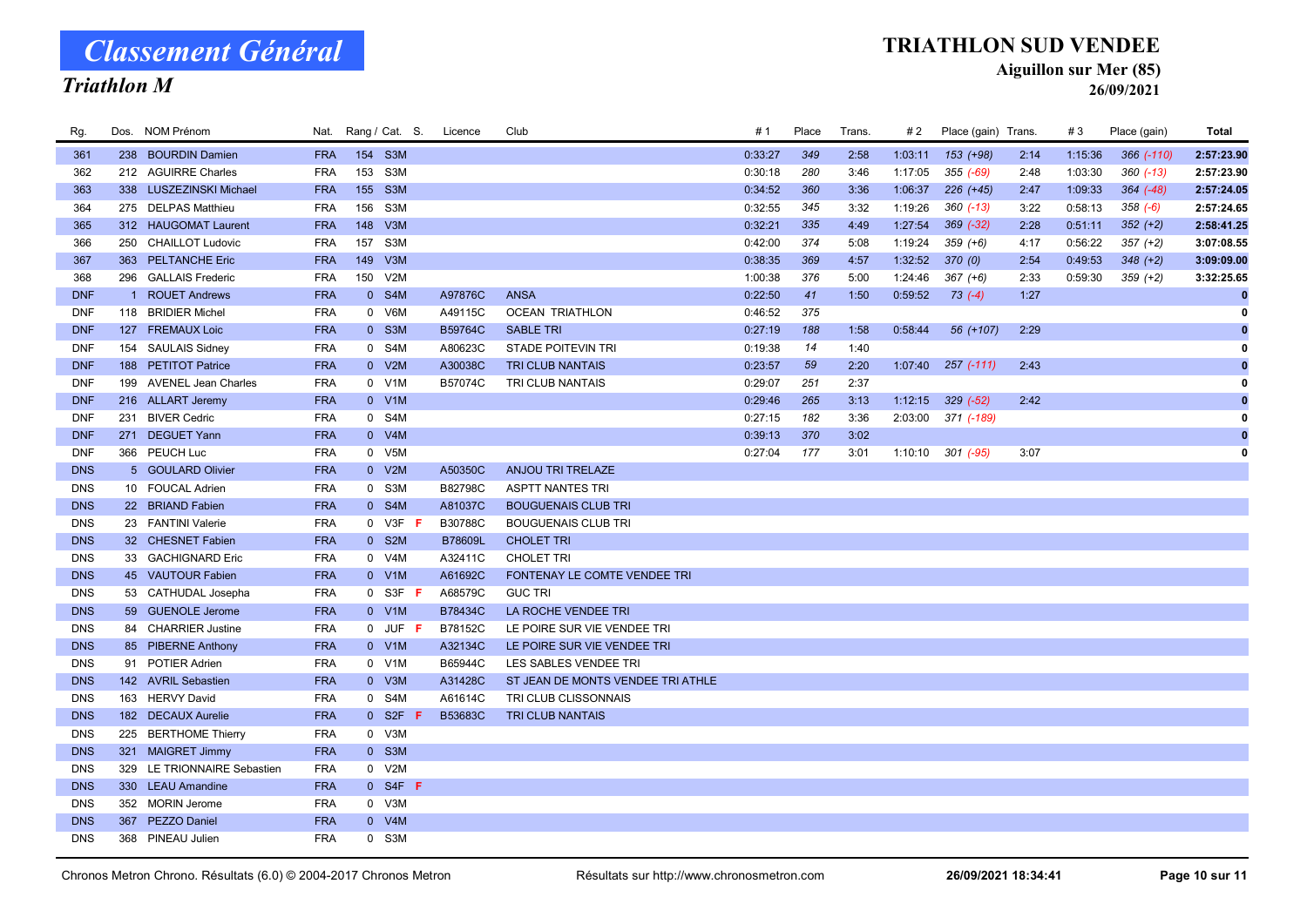### Triathlon M

#### TRIATHLON SUD VENDEE

Aiguillon sur Mer (85)

| Rg.        | Dos. NOM Prénom             |            |     |             | Nat. Rang / Cat. S. Licence | Club                              | # 1     | Place | Trans. | #2      | Place (gain) Trans.    |      | #3      | Place (gain) | Total       |
|------------|-----------------------------|------------|-----|-------------|-----------------------------|-----------------------------------|---------|-------|--------|---------|------------------------|------|---------|--------------|-------------|
| 361        | 238 BOURDIN Damien          | <b>FRA</b> |     | 154 S3M     |                             |                                   | 0:33:27 | 349   | 2:58   | 1:03:11 | 153 (+98)              | 2:14 | 1:15:36 | 366 (-110)   | 2:57:23.90  |
| 362        | 212 AGUIRRE Charles         | <b>FRA</b> |     | 153 S3M     |                             |                                   | 0:30:18 | 280   | 3:46   | 1:17:05 | $355 (-69)$            | 2:48 | 1:03:30 | $360 (-13)$  | 2:57:23.90  |
| 363        | 338 LUSZEZINSKI Michael     | <b>FRA</b> |     | 155 S3M     |                             |                                   | 0:34:52 | 360   | 3:36   | 1:06:37 | $226 (+45)$            | 2:47 | 1:09:33 | $364 (-48)$  | 2:57:24.05  |
| 364        | 275 DELPAS Matthieu         | <b>FRA</b> | 156 | S3M         |                             |                                   | 0:32:55 | 345   | 3:32   | 1:19:26 | $360 (-13)$            | 3:22 | 0:58:13 | $358(-6)$    | 2:57:24.65  |
| 365        | 312 HAUGOMAT Laurent        | <b>FRA</b> | 148 | V3M         |                             |                                   | 0:32:21 | 335   | 4:49   | 1:27:54 | $369 (-32)$            | 2:28 | 0:51:11 | $352 (+2)$   | 2:58:41.25  |
| 366        | 250 CHAILLOT Ludovic        | <b>FRA</b> |     | 157 S3M     |                             |                                   | 0:42:00 | 374   | 5:08   | 1:19:24 | $359 (+6)$             | 4:17 | 0:56:22 | $357 (+2)$   | 3:07:08.55  |
| 367        | 363 PELTANCHE Eric          | <b>FRA</b> |     | 149 V3M     |                             |                                   | 0:38:35 | 369   | 4:57   | 1:32:52 | 370(0)                 | 2:54 | 0:49:53 | $348 (+2)$   | 3:09:09.00  |
| 368        | 296 GALLAIS Frederic        | <b>FRA</b> |     | 150 V2M     |                             |                                   | 1:00:38 | 376   | 5:00   | 1:24:46 | $367 (+6)$             | 2:33 | 0:59:30 | $359 (+2)$   | 3:32:25.65  |
| <b>DNF</b> | 1 ROUET Andrews             | <b>FRA</b> |     | 0 S4M       | A97876C                     | <b>ANSA</b>                       | 0:22:50 | 41    | 1:50   | 0:59:52 | $73( -4)$              | 1:27 |         |              | $\bf{0}$    |
| <b>DNF</b> | 118 BRIDIER Michel          | <b>FRA</b> |     | 0 V6M       | A49115C                     | <b>OCEAN TRIATHLON</b>            | 0:46:52 | 375   |        |         |                        |      |         |              | $\mathbf 0$ |
| <b>DNF</b> | 127 FREMAUX Loic            | <b>FRA</b> |     | $0$ S3M     | B59764C                     | <b>SABLE TRI</b>                  | 0:27:19 | 188   | 1:58   | 0:58:44 | 56 (+107)              | 2:29 |         |              | $\bf{0}$    |
| <b>DNF</b> | 154 SAULAIS Sidney          | <b>FRA</b> |     | 0 S4M       | A80623C                     | <b>STADE POITEVIN TRI</b>         | 0:19:38 | 14    | 1:40   |         |                        |      |         |              | 0           |
| <b>DNF</b> | 188 PETITOT Patrice         | <b>FRA</b> |     | 0 V2M       | A30038C                     | TRI CLUB NANTAIS                  | 0:23:57 | 59    | 2:20   | 1:07:40 | $257$ $(-111)$         | 2:43 |         |              | $\bf{0}$    |
| <b>DNF</b> | 199 AVENEL Jean Charles     | <b>FRA</b> |     | 0 V1M       | B57074C                     | TRI CLUB NANTAIS                  | 0:29:07 | 251   | 2:37   |         |                        |      |         |              | 0           |
| <b>DNF</b> | 216 ALLART Jeremy           | <b>FRA</b> |     | 0 V1M       |                             |                                   | 0:29:46 | 265   | 3:13   | 1:12:15 | $329 (-52)$            | 2:42 |         |              | $\bf{0}$    |
| <b>DNF</b> | 231 BIVER Cedric            | <b>FRA</b> |     | 0 S4M       |                             |                                   | 0:27:15 | 182   | 3:36   |         | $2:03:00$ 371 $(-189)$ |      |         |              | 0           |
| <b>DNF</b> | 271 DEGUET Yann             | <b>FRA</b> |     | 0 V4M       |                             |                                   | 0:39:13 | 370   | 3:02   |         |                        |      |         |              |             |
| <b>DNF</b> | 366 PEUCH Luc               | <b>FRA</b> |     | 0 V5M       |                             |                                   | 0:27:04 | 177   | 3:01   |         | $1:10:10$ 301 $(-95)$  | 3:07 |         |              | 0           |
| <b>DNS</b> | 5 GOULARD Olivier           | <b>FRA</b> |     | 0 V2M       | A50350C                     | ANJOU TRI TRELAZE                 |         |       |        |         |                        |      |         |              |             |
| <b>DNS</b> | 10 FOUCAL Adrien            | <b>FRA</b> |     | 0 S3M       | B82798C                     | <b>ASPTT NANTES TRI</b>           |         |       |        |         |                        |      |         |              |             |
| <b>DNS</b> | 22 BRIAND Fabien            | <b>FRA</b> |     | 0 S4M       | A81037C                     | <b>BOUGUENAIS CLUB TRI</b>        |         |       |        |         |                        |      |         |              |             |
| <b>DNS</b> | 23 FANTINI Valerie          | <b>FRA</b> |     | 0 V3F       | B30788C                     | <b>BOUGUENAIS CLUB TRI</b>        |         |       |        |         |                        |      |         |              |             |
| <b>DNS</b> | 32 CHESNET Fabien           | <b>FRA</b> |     | 0 S2M       | B78609L                     | <b>CHOLET TRI</b>                 |         |       |        |         |                        |      |         |              |             |
| <b>DNS</b> | 33 GACHIGNARD Eric          | <b>FRA</b> |     | 0 V4M       | A32411C                     | <b>CHOLET TRI</b>                 |         |       |        |         |                        |      |         |              |             |
| <b>DNS</b> | 45 VAUTOUR Fabien           | <b>FRA</b> |     | 0 V1M       | A61692C                     | FONTENAY LE COMTE VENDEE TRI      |         |       |        |         |                        |      |         |              |             |
| <b>DNS</b> | 53 CATHUDAL Josepha         | <b>FRA</b> |     | $0$ S3F F   | A68579C                     | <b>GUC TRI</b>                    |         |       |        |         |                        |      |         |              |             |
| <b>DNS</b> | 59 GUENOLE Jerome           | <b>FRA</b> |     | 0 V1M       | B78434C                     | LA ROCHE VENDEE TRI               |         |       |        |         |                        |      |         |              |             |
| <b>DNS</b> | 84 CHARRIER Justine         | <b>FRA</b> |     | $0$ JUF $F$ | B78152C                     | LE POIRE SUR VIE VENDEE TRI       |         |       |        |         |                        |      |         |              |             |
| <b>DNS</b> | 85 PIBERNE Anthony          | <b>FRA</b> |     | $0$ V1M     | A32134C                     | LE POIRE SUR VIE VENDEE TRI       |         |       |        |         |                        |      |         |              |             |
| <b>DNS</b> | 91 POTIER Adrien            | <b>FRA</b> |     | 0 V1M       | B65944C                     | LES SABLES VENDEE TRI             |         |       |        |         |                        |      |         |              |             |
| <b>DNS</b> | 142 AVRIL Sebastien         | <b>FRA</b> |     | 0 V3M       | A31428C                     | ST JEAN DE MONTS VENDEE TRI ATHLE |         |       |        |         |                        |      |         |              |             |
| <b>DNS</b> | 163 HERVY David             | <b>FRA</b> |     | 0 S4M       | A61614C                     | TRI CLUB CLISSONNAIS              |         |       |        |         |                        |      |         |              |             |
| <b>DNS</b> | 182 DECAUX Aurelie          | <b>FRA</b> |     | $0$ S2F F   | B53683C                     | <b>TRI CLUB NANTAIS</b>           |         |       |        |         |                        |      |         |              |             |
| <b>DNS</b> | 225 BERTHOME Thierry        | <b>FRA</b> |     | 0 V3M       |                             |                                   |         |       |        |         |                        |      |         |              |             |
| <b>DNS</b> | 321 MAIGRET Jimmy           | <b>FRA</b> |     | 0 S3M       |                             |                                   |         |       |        |         |                        |      |         |              |             |
| <b>DNS</b> | 329 LE TRIONNAIRE Sebastien | <b>FRA</b> |     | 0 V2M       |                             |                                   |         |       |        |         |                        |      |         |              |             |
| <b>DNS</b> | 330 LEAU Amandine           | <b>FRA</b> |     | $0$ S4F F   |                             |                                   |         |       |        |         |                        |      |         |              |             |
| <b>DNS</b> | 352 MORIN Jerome            | <b>FRA</b> |     | 0 V3M       |                             |                                   |         |       |        |         |                        |      |         |              |             |
| <b>DNS</b> | 367 PEZZO Daniel            | <b>FRA</b> |     | 0 V4M       |                             |                                   |         |       |        |         |                        |      |         |              |             |
| <b>DNS</b> | 368 PINEAU Julien           | <b>FRA</b> |     | 0 S3M       |                             |                                   |         |       |        |         |                        |      |         |              |             |